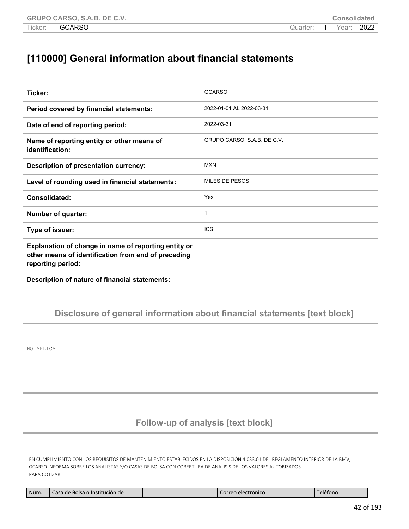## **[110000] General information about financial statements**

| Ticker:                                                                                                                          | <b>GCARSO</b>               |
|----------------------------------------------------------------------------------------------------------------------------------|-----------------------------|
| Period covered by financial statements:                                                                                          | 2022-01-01 AL 2022-03-31    |
| Date of end of reporting period:                                                                                                 | 2022-03-31                  |
| Name of reporting entity or other means of<br>identification:                                                                    | GRUPO CARSO, S.A.B. DE C.V. |
| <b>Description of presentation currency:</b>                                                                                     | <b>MXN</b>                  |
| Level of rounding used in financial statements:                                                                                  | <b>MILES DE PESOS</b>       |
| Consolidated:                                                                                                                    | Yes                         |
| <b>Number of quarter:</b>                                                                                                        | 1                           |
| Type of issuer:                                                                                                                  | <b>ICS</b>                  |
| Explanation of change in name of reporting entity or<br>other means of identification from end of preceding<br>reporting period: |                             |
| Description of nature of financial statements:                                                                                   |                             |

### **Disclosure of general information about financial statements [text block]**

NO APLICA

### **Follow-up of analysis [text block]**

EN CUMPLIMIENTO CON LOS REQUISITOS DE MANTENIMIENTO ESTABLECIDOS EN LA DISPOSICIÓN 4.033.01 DEL REGLAMENTO INTERIOR DE LA BMV, GCARSO INFORMA SOBRE LOS ANALISTAS Y/O CASAS DE BOLSA CON COBERTURA DE ANÁLISIS DE LOS VALORES AUTORIZADOS PARA COTIZAR:

| Núm.<br>e Bolsa o Institución de<br>Casa del | iorreo electrónico | eléfond |
|----------------------------------------------|--------------------|---------|
|----------------------------------------------|--------------------|---------|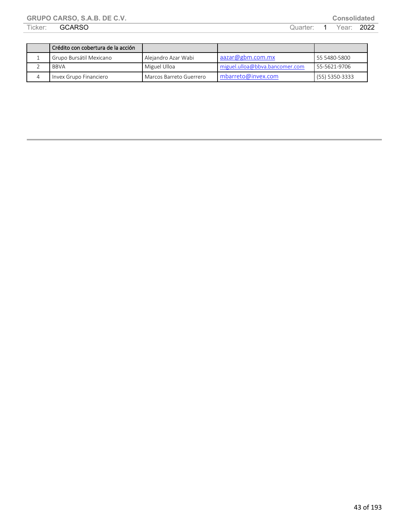|   | Crédito con cobertura de la acción |                         |                                |                  |
|---|------------------------------------|-------------------------|--------------------------------|------------------|
|   | Grupo Bursátil Mexicano            | l Aleiandro Azar Wabi   | aazar@gbm.com,mx               | 55 5480-5800     |
|   | <b>BBVA</b>                        | Miguel Ulloa            | miguel.ulloa@bbva.bancomer.com | 55-5621-9706     |
| 4 | Invex Grupo Financiero             | Marcos Barreto Guerrero | $mbar{e}$ mbarreto@invex.com   | $(55)$ 5350-3333 |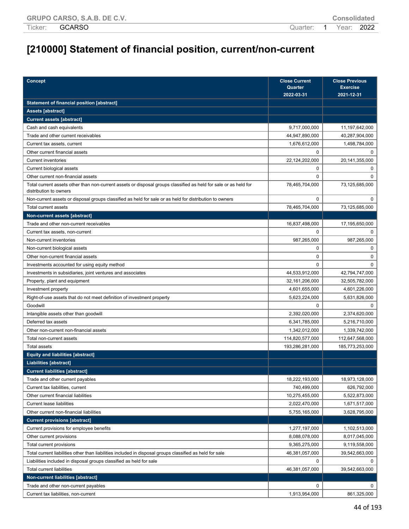# **[210000] Statement of financial position, current/non-current**

| Concept                                                                                                                                    | <b>Close Current</b><br>Quarter | <b>Close Previous</b><br><b>Exercise</b> |
|--------------------------------------------------------------------------------------------------------------------------------------------|---------------------------------|------------------------------------------|
|                                                                                                                                            | 2022-03-31                      | 2021-12-31                               |
| <b>Statement of financial position [abstract]</b>                                                                                          |                                 |                                          |
| <b>Assets [abstract]</b>                                                                                                                   |                                 |                                          |
| <b>Current assets [abstract]</b>                                                                                                           |                                 |                                          |
| Cash and cash equivalents                                                                                                                  | 9,717,000,000                   | 11,197,642,000                           |
| Trade and other current receivables                                                                                                        | 44,947,890,000                  | 40,287,904,000                           |
| Current tax assets, current                                                                                                                | 1,676,612,000                   | 1,498,784,000                            |
| Other current financial assets                                                                                                             | $\Omega$                        | 0                                        |
| <b>Current inventories</b>                                                                                                                 | 22,124,202,000                  | 20,141,355,000                           |
| Current biological assets                                                                                                                  | $\Omega$                        | 0                                        |
| Other current non-financial assets                                                                                                         | $\Omega$                        | $\Omega$                                 |
| Total current assets other than non-current assets or disposal groups classified as held for sale or as held for<br>distribution to owners | 78,465,704,000                  | 73,125,685,000                           |
| Non-current assets or disposal groups classified as held for sale or as held for distribution to owners                                    | $\Omega$                        | $\Omega$                                 |
| Total current assets                                                                                                                       | 78,465,704,000                  | 73,125,685,000                           |
| Non-current assets [abstract]                                                                                                              |                                 |                                          |
| Trade and other non-current receivables                                                                                                    | 16,837,498,000                  | 17,195,650,000                           |
| Current tax assets, non-current                                                                                                            | $\Omega$                        | <sup>0</sup>                             |
| Non-current inventories                                                                                                                    | 987,265,000                     | 987,265,000                              |
| Non-current biological assets                                                                                                              | 0                               | 0                                        |
| Other non-current financial assets                                                                                                         | 0                               | 0                                        |
| Investments accounted for using equity method                                                                                              | $\Omega$                        | $\Omega$                                 |
| Investments in subsidiaries, joint ventures and associates                                                                                 | 44,533,912,000                  | 42,794,747,000                           |
| Property, plant and equipment                                                                                                              | 32,161,206,000                  | 32,505,782,000                           |
| Investment property                                                                                                                        | 4,601,655,000                   | 4,601,226,000                            |
| Right-of-use assets that do not meet definition of investment property                                                                     | 5,623,224,000                   | 5,631,826,000                            |
| Goodwill                                                                                                                                   | $\Omega$                        | $\Omega$                                 |
| Intangible assets other than goodwill                                                                                                      | 2,392,020,000                   | 2,374,620,000                            |
| Deferred tax assets                                                                                                                        | 6,341,785,000                   | 5,216,710,000                            |
| Other non-current non-financial assets                                                                                                     | 1,342,012,000                   | 1,339,742,000                            |
| Total non-current assets                                                                                                                   | 114,820,577,000                 | 112,647,568,000                          |
| <b>Total assets</b>                                                                                                                        | 193,286,281,000                 | 185,773,253,000                          |
| <b>Equity and liabilities [abstract]</b>                                                                                                   |                                 |                                          |
| <b>Liabilities [abstract]</b>                                                                                                              |                                 |                                          |
| <b>Current liabilities [abstract]</b>                                                                                                      |                                 |                                          |
| Trade and other current payables                                                                                                           | 18,222,193,000                  | 18,973,128,000                           |
| Current tax liabilities, current                                                                                                           | 740,499,000                     | 626,792,000                              |
| Other current financial liabilities                                                                                                        | 10,275,455,000                  | 5,522,873,000                            |
| <b>Current lease liabilities</b>                                                                                                           | 2,022,470,000                   | 1,671,517,000                            |
| Other current non-financial liabilities                                                                                                    | 5,755,165,000                   | 3,628,795,000                            |
| <b>Current provisions [abstract]</b>                                                                                                       |                                 |                                          |
| Current provisions for employee benefits                                                                                                   | 1,277,197,000                   | 1,102,513,000                            |
| Other current provisions                                                                                                                   | 8,088,078,000                   | 8,017,045,000                            |
| Total current provisions                                                                                                                   | 9,365,275,000                   | 9,119,558,000                            |
| Total current liabilities other than liabilities included in disposal groups classified as held for sale                                   | 46,381,057,000                  | 39,542,663,000                           |
| Liabilities included in disposal groups classified as held for sale                                                                        | 0                               |                                          |
| <b>Total current liabilities</b>                                                                                                           | 46,381,057,000                  | 39,542,663,000                           |
| Non-current liabilities [abstract]                                                                                                         |                                 |                                          |
| Trade and other non-current payables                                                                                                       | 0                               | 0                                        |
| Current tax liabilities, non-current                                                                                                       | 1,913,954,000                   | 861,325,000                              |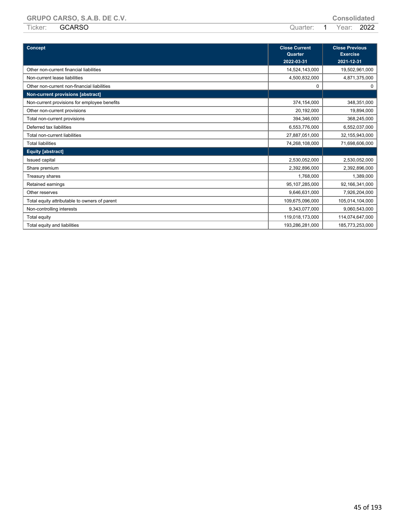| <b>Concept</b>                                | <b>Close Current</b><br>Quarter<br>2022-03-31 | <b>Close Previous</b><br><b>Exercise</b><br>2021-12-31 |
|-----------------------------------------------|-----------------------------------------------|--------------------------------------------------------|
| Other non-current financial liabilities       | 14,524,143,000                                | 19,502,961,000                                         |
| Non-current lease liabilities                 | 4,500,832,000                                 | 4,871,375,000                                          |
| Other non-current non-financial liabilities   | 0                                             | 0                                                      |
| Non-current provisions [abstract]             |                                               |                                                        |
| Non-current provisions for employee benefits  | 374,154,000                                   | 348,351,000                                            |
| Other non-current provisions                  | 20,192,000                                    | 19,894,000                                             |
| Total non-current provisions                  | 394,346,000                                   | 368,245,000                                            |
| Deferred tax liabilities                      | 6,553,776,000                                 | 6,552,037,000                                          |
| Total non-current liabilities                 | 27,887,051,000                                | 32,155,943,000                                         |
| <b>Total liabilities</b>                      | 74,268,108,000                                | 71,698,606,000                                         |
| <b>Equity [abstract]</b>                      |                                               |                                                        |
| Issued capital                                | 2,530,052,000                                 | 2,530,052,000                                          |
| Share premium                                 | 2,392,896,000                                 | 2,392,896,000                                          |
| Treasury shares                               | 1,768,000                                     | 1,389,000                                              |
| Retained earnings                             | 95,107,285,000                                | 92,166,341,000                                         |
| Other reserves                                | 9,646,631,000                                 | 7,926,204,000                                          |
| Total equity attributable to owners of parent | 109,675,096,000                               | 105,014,104,000                                        |
| Non-controlling interests                     | 9,343,077,000                                 | 9,060,543,000                                          |
| Total equity                                  | 119,018,173,000                               | 114,074,647,000                                        |
| Total equity and liabilities                  | 193,286,281,000                               | 185,773,253,000                                        |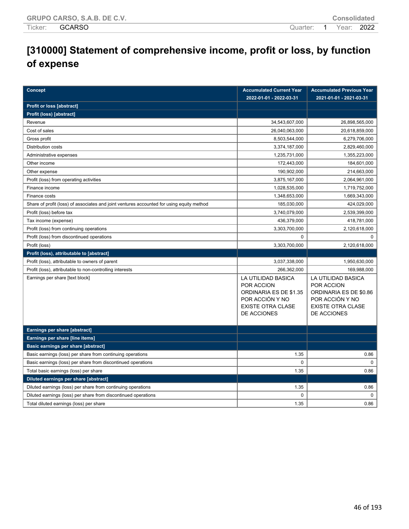## **[310000] Statement of comprehensive income, profit or loss, by function of expense**

| <b>Concept</b>                                                                            | <b>Accumulated Current Year</b><br>2022-01-01 - 2022-03-31                                                               | <b>Accumulated Previous Year</b><br>2021-01-01 - 2021-03-31                                                              |
|-------------------------------------------------------------------------------------------|--------------------------------------------------------------------------------------------------------------------------|--------------------------------------------------------------------------------------------------------------------------|
| Profit or loss [abstract]                                                                 |                                                                                                                          |                                                                                                                          |
| Profit (loss) [abstract]                                                                  |                                                                                                                          |                                                                                                                          |
| Revenue                                                                                   | 34,543,607,000                                                                                                           | 26,898,565,000                                                                                                           |
| Cost of sales                                                                             | 26,040,063,000                                                                                                           | 20,618,859,000                                                                                                           |
| Gross profit                                                                              | 8,503,544,000                                                                                                            | 6,279,706,000                                                                                                            |
| <b>Distribution costs</b>                                                                 | 3,374,187,000                                                                                                            | 2,829,460,000                                                                                                            |
| Administrative expenses                                                                   | 1,235,731,000                                                                                                            | 1,355,223,000                                                                                                            |
| Other income                                                                              | 172,443,000                                                                                                              | 184,601,000                                                                                                              |
| Other expense                                                                             | 190,902,000                                                                                                              | 214,663,000                                                                                                              |
| Profit (loss) from operating activities                                                   | 3,875,167,000                                                                                                            | 2,064,961,000                                                                                                            |
| Finance income                                                                            | 1,028,535,000                                                                                                            | 1,719,752,000                                                                                                            |
| Finance costs                                                                             | 1,348,653,000                                                                                                            | 1,669,343,000                                                                                                            |
| Share of profit (loss) of associates and joint ventures accounted for using equity method | 185,030,000                                                                                                              | 424,029,000                                                                                                              |
| Profit (loss) before tax                                                                  | 3,740,079,000                                                                                                            | 2,539,399,000                                                                                                            |
| Tax income (expense)                                                                      | 436,379,000                                                                                                              | 418,781,000                                                                                                              |
| Profit (loss) from continuing operations                                                  | 3,303,700,000                                                                                                            | 2,120,618,000                                                                                                            |
| Profit (loss) from discontinued operations                                                | $\Omega$                                                                                                                 | $\Omega$                                                                                                                 |
| Profit (loss)                                                                             | 3,303,700,000                                                                                                            | 2,120,618,000                                                                                                            |
| Profit (loss), attributable to [abstract]                                                 |                                                                                                                          |                                                                                                                          |
| Profit (loss), attributable to owners of parent                                           | 3,037,338,000                                                                                                            | 1,950,630,000                                                                                                            |
| Profit (loss), attributable to non-controlling interests                                  | 266,362,000                                                                                                              | 169,988,000                                                                                                              |
| Earnings per share [text block]                                                           | LA UTILIDAD BASICA<br>POR ACCION<br>ORDINARIA ES DE \$1.35<br>POR ACCIÓN Y NO<br><b>EXISTE OTRA CLASE</b><br>DE ACCIONES | LA UTILIDAD BASICA<br>POR ACCION<br>ORDINARIA ES DE \$0.86<br>POR ACCIÓN Y NO<br><b>EXISTE OTRA CLASE</b><br>DE ACCIONES |
| <b>Earnings per share [abstract]</b>                                                      |                                                                                                                          |                                                                                                                          |
| Earnings per share [line items]                                                           |                                                                                                                          |                                                                                                                          |
| <b>Basic earnings per share [abstract]</b>                                                |                                                                                                                          |                                                                                                                          |
| Basic earnings (loss) per share from continuing operations                                | 1.35                                                                                                                     | 0.86                                                                                                                     |
| Basic earnings (loss) per share from discontinued operations                              | $\mathbf 0$                                                                                                              | $\Omega$                                                                                                                 |
| Total basic earnings (loss) per share                                                     | 1.35                                                                                                                     | 0.86                                                                                                                     |
| Diluted earnings per share [abstract]                                                     |                                                                                                                          |                                                                                                                          |
| Diluted earnings (loss) per share from continuing operations                              | 1.35                                                                                                                     | 0.86                                                                                                                     |
| Diluted earnings (loss) per share from discontinued operations                            | 0                                                                                                                        | 0                                                                                                                        |
| Total diluted earnings (loss) per share                                                   | 1.35                                                                                                                     | 0.86                                                                                                                     |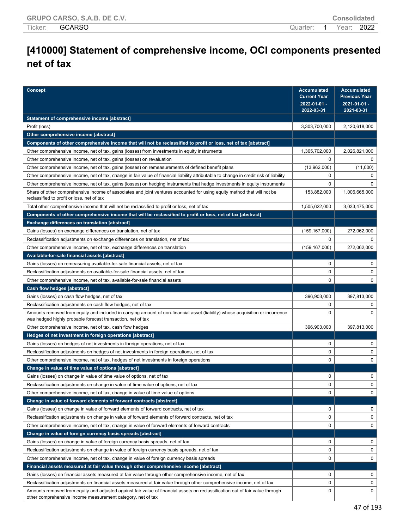# **[410000] Statement of comprehensive income, OCI components presented net of tax**

| <b>Concept</b>                                                                                                                                                                                | <b>Accumulated</b><br><b>Current Year</b> | <b>Accumulated</b><br><b>Previous Year</b> |
|-----------------------------------------------------------------------------------------------------------------------------------------------------------------------------------------------|-------------------------------------------|--------------------------------------------|
|                                                                                                                                                                                               | $2022 - 01 - 01 -$<br>2022-03-31          | 2021-01-01 -<br>2021-03-31                 |
| Statement of comprehensive income [abstract]                                                                                                                                                  |                                           |                                            |
| Profit (loss)                                                                                                                                                                                 | 3,303,700,000                             | 2,120,618,000                              |
| Other comprehensive income [abstract]                                                                                                                                                         |                                           |                                            |
| Components of other comprehensive income that will not be reclassified to profit or loss, net of tax [abstract]                                                                               |                                           |                                            |
| Other comprehensive income, net of tax, gains (losses) from investments in equity instruments                                                                                                 | 1,365,702,000                             | 2,026,821,000                              |
| Other comprehensive income, net of tax, gains (losses) on revaluation                                                                                                                         | $\mathbf 0$                               |                                            |
| Other comprehensive income, net of tax, gains (losses) on remeasurements of defined benefit plans                                                                                             | (13,962,000)                              | (11,000)                                   |
| Other comprehensive income, net of tax, change in fair value of financial liability attributable to change in credit risk of liability                                                        | 0                                         | 0                                          |
| Other comprehensive income, net of tax, gains (losses) on hedging instruments that hedge investments in equity instruments                                                                    | $\mathbf 0$                               | $\Omega$                                   |
| Share of other comprehensive income of associates and joint ventures accounted for using equity method that will not be<br>reclassified to profit or loss, net of tax                         | 153,882,000                               | 1,006,665,000                              |
| Total other comprehensive income that will not be reclassified to profit or loss, net of tax                                                                                                  | 1,505,622,000                             | 3,033,475,000                              |
| Components of other comprehensive income that will be reclassified to profit or loss, net of tax [abstract]                                                                                   |                                           |                                            |
| Exchange differences on translation [abstract]                                                                                                                                                |                                           |                                            |
| Gains (losses) on exchange differences on translation, net of tax                                                                                                                             | (159, 167, 000)                           | 272,062,000                                |
| Reclassification adjustments on exchange differences on translation, net of tax                                                                                                               | $\mathbf 0$                               | 0                                          |
| Other comprehensive income, net of tax, exchange differences on translation                                                                                                                   | (159, 167, 000)                           | 272,062,000                                |
| Available-for-sale financial assets [abstract]                                                                                                                                                |                                           |                                            |
| Gains (losses) on remeasuring available-for-sale financial assets, net of tax                                                                                                                 | $\mathbf 0$                               | 0                                          |
| Reclassification adjustments on available-for-sale financial assets, net of tax                                                                                                               | $\mathbf 0$                               | 0                                          |
| Other comprehensive income, net of tax, available-for-sale financial assets                                                                                                                   | $\mathbf 0$                               | 0                                          |
| Cash flow hedges [abstract]                                                                                                                                                                   |                                           |                                            |
| Gains (losses) on cash flow hedges, net of tax                                                                                                                                                | 396,903,000                               | 397,813,000                                |
| Reclassification adjustments on cash flow hedges, net of tax                                                                                                                                  | 0                                         | 0                                          |
| Amounts removed from equity and included in carrying amount of non-financial asset (liability) whose acquisition or incurrence<br>was hedged highly probable forecast transaction, net of tax | $\mathbf 0$                               | $\Omega$                                   |
| Other comprehensive income, net of tax, cash flow hedges                                                                                                                                      | 396,903,000                               | 397,813,000                                |
| Hedges of net investment in foreign operations [abstract]                                                                                                                                     |                                           |                                            |
| Gains (losses) on hedges of net investments in foreign operations, net of tax                                                                                                                 | 0                                         | 0                                          |
| Reclassification adjustments on hedges of net investments in foreign operations, net of tax                                                                                                   | $\mathbf 0$                               | 0                                          |
| Other comprehensive income, net of tax, hedges of net investments in foreign operations                                                                                                       | $\mathbf 0$                               | 0                                          |
| Change in value of time value of options [abstract]                                                                                                                                           |                                           |                                            |
| Gains (losses) on change in value of time value of options, net of tax                                                                                                                        | 0                                         | 0                                          |
| Reclassification adjustments on change in value of time value of options, net of tax                                                                                                          | 0                                         |                                            |
| Other comprehensive income, net of tax, change in value of time value of options                                                                                                              | 0                                         | 0                                          |
| Change in value of forward elements of forward contracts [abstract]                                                                                                                           |                                           |                                            |
| Gains (losses) on change in value of forward elements of forward contracts, net of tax                                                                                                        | 0                                         | 0                                          |
| Reclassification adjustments on change in value of forward elements of forward contracts, net of tax                                                                                          | $\mathbf 0$                               | 0                                          |
| Other comprehensive income, net of tax, change in value of forward elements of forward contracts                                                                                              | $\mathbf 0$                               | 0                                          |
| Change in value of foreign currency basis spreads [abstract]                                                                                                                                  |                                           |                                            |
| Gains (losses) on change in value of foreign currency basis spreads, net of tax                                                                                                               | 0                                         | 0                                          |
| Reclassification adjustments on change in value of foreign currency basis spreads, net of tax                                                                                                 | 0                                         | 0                                          |
| Other comprehensive income, net of tax, change in value of foreign currency basis spreads                                                                                                     | 0                                         | 0                                          |
| Financial assets measured at fair value through other comprehensive income [abstract]                                                                                                         |                                           |                                            |
| Gains (losses) on financial assets measured at fair value through other comprehensive income, net of tax                                                                                      | 0                                         | 0                                          |
| Reclassification adjustments on financial assets measured at fair value through other comprehensive income, net of tax                                                                        | 0                                         | 0                                          |
| Amounts removed from equity and adjusted against fair value of financial assets on reclassification out of fair value through<br>other comprehensive income measurement category, net of tax  | 0                                         | 0                                          |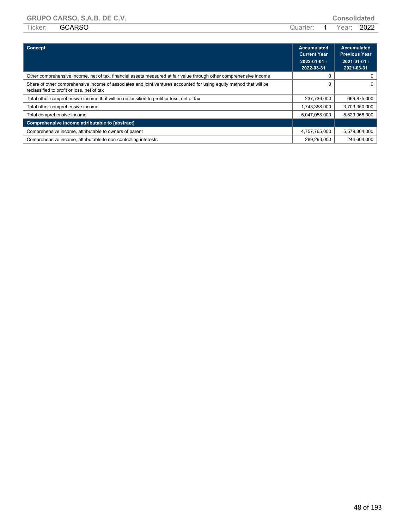|                       |                       | ---------------- |  |
|-----------------------|-----------------------|------------------|--|
| Ticker: <b>GCARSO</b> | Quarter: 1 Year: 2022 |                  |  |

| Concept                                                                                                                                                           | <b>Accumulated</b><br><b>Current Year</b><br>$2022 - 01 - 01 -$<br>2022-03-31 | <b>Accumulated</b><br><b>Previous Year</b><br>$2021 - 01 - 01 -$<br>2021-03-31 |
|-------------------------------------------------------------------------------------------------------------------------------------------------------------------|-------------------------------------------------------------------------------|--------------------------------------------------------------------------------|
| Other comprehensive income, net of tax, financial assets measured at fair value through other comprehensive income                                                |                                                                               |                                                                                |
| Share of other comprehensive income of associates and joint ventures accounted for using equity method that will be<br>reclassified to profit or loss, net of tax |                                                                               | 0                                                                              |
| Total other comprehensive income that will be reclassified to profit or loss, net of tax                                                                          | 237,736,000                                                                   | 669,875,000                                                                    |
| Total other comprehensive income                                                                                                                                  | 1,743,358,000                                                                 | 3,703,350,000                                                                  |
| Total comprehensive income                                                                                                                                        | 5,047,058,000                                                                 | 5,823,968,000                                                                  |
| Comprehensive income attributable to [abstract]                                                                                                                   |                                                                               |                                                                                |
| Comprehensive income, attributable to owners of parent                                                                                                            | 4,757,765,000                                                                 | 5,579,364,000                                                                  |
| Comprehensive income, attributable to non-controlling interests                                                                                                   | 289.293.000                                                                   | 244.604.000                                                                    |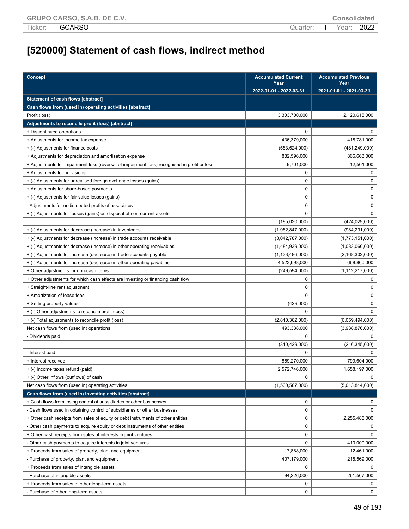# **[520000] Statement of cash flows, indirect method**

| <b>Concept</b>                                                                               | <b>Accumulated Current</b><br>Year | <b>Accumulated Previous</b><br>Year |
|----------------------------------------------------------------------------------------------|------------------------------------|-------------------------------------|
|                                                                                              | 2022-01-01 - 2022-03-31            | 2021-01-01 - 2021-03-31             |
| <b>Statement of cash flows [abstract]</b>                                                    |                                    |                                     |
| Cash flows from (used in) operating activities [abstract]                                    |                                    |                                     |
| Profit (loss)                                                                                | 3,303,700,000                      | 2,120,618,000                       |
| Adjustments to reconcile profit (loss) [abstract]                                            |                                    |                                     |
| + Discontinued operations                                                                    | $\mathbf 0$                        | 0                                   |
| + Adjustments for income tax expense                                                         | 436,379,000                        | 418,781,000                         |
| + (-) Adjustments for finance costs                                                          | (583, 624, 000)                    | (481, 249, 000)                     |
| + Adjustments for depreciation and amortisation expense                                      | 882,596,000                        | 866,663,000                         |
| + Adjustments for impairment loss (reversal of impairment loss) recognised in profit or loss | 9,701,000                          | 12,501,000                          |
| + Adjustments for provisions                                                                 | 0                                  | 0                                   |
| + (-) Adjustments for unrealised foreign exchange losses (gains)                             | 0                                  | 0                                   |
| + Adjustments for share-based payments                                                       | 0                                  | 0                                   |
| + (-) Adjustments for fair value losses (gains)                                              | $\mathbf 0$                        | 0                                   |
| - Adjustments for undistributed profits of associates                                        | 0                                  | 0                                   |
| + (-) Adjustments for losses (gains) on disposal of non-current assets                       | $\mathbf 0$                        | 0                                   |
|                                                                                              | (185,030,000)                      | (424, 029, 000)                     |
| + (-) Adjustments for decrease (increase) in inventories                                     | (1,982,847,000)                    | (984, 291, 000)                     |
| + (-) Adjustments for decrease (increase) in trade accounts receivable                       | (3,042,787,000)                    | (1,773,151,000)                     |
| + (-) Adjustments for decrease (increase) in other operating receivables                     | (1,484,939,000)                    | (1,083,060,000)                     |
| + (-) Adjustments for increase (decrease) in trade accounts payable                          | (1, 133, 486, 000)                 | (2, 168, 302, 000)                  |
| + (-) Adjustments for increase (decrease) in other operating payables                        | 4,523,698,000                      | 668,860,000                         |
| + Other adjustments for non-cash items                                                       | (249, 594, 000)                    | (1, 112, 217, 000)                  |
| + Other adjustments for which cash effects are investing or financing cash flow              | 0                                  | 0                                   |
| + Straight-line rent adjustment                                                              | $\mathbf 0$                        | 0                                   |
| + Amortization of lease fees                                                                 | $\mathbf 0$                        | 0                                   |
| + Setting property values                                                                    | (429,000)                          | 0                                   |
| + (-) Other adjustments to reconcile profit (loss)                                           | 0                                  | 0                                   |
| + (-) Total adjustments to reconcile profit (loss)                                           | (2,810,362,000)                    | (6,059,494,000)                     |
| Net cash flows from (used in) operations                                                     | 493,338,000                        | (3,938,876,000)                     |
| - Dividends paid                                                                             | 0                                  |                                     |
|                                                                                              | (310, 429, 000)                    | (216, 345, 000)                     |
| - Interest paid                                                                              | $\Omega$                           |                                     |
| + Interest received                                                                          | 859,270,000                        | 799,604,000                         |
| + (-) Income taxes refund (paid)                                                             | 2,572,746,000                      | 1,658,197,000                       |
| + (-) Other inflows (outflows) of cash                                                       | 0                                  | 0                                   |
| Net cash flows from (used in) operating activities                                           | (1,530,567,000)                    | (5,013,814,000)                     |
| Cash flows from (used in) investing activities [abstract]                                    |                                    |                                     |
| + Cash flows from losing control of subsidiaries or other businesses                         | 0                                  | 0                                   |
| - Cash flows used in obtaining control of subsidiaries or other businesses                   | 0                                  | 0                                   |
| + Other cash receipts from sales of equity or debt instruments of other entities             | 0                                  | 2,255,485,000                       |
| - Other cash payments to acquire equity or debt instruments of other entities                | 0                                  | 0                                   |
| + Other cash receipts from sales of interests in joint ventures                              | 0                                  | 0                                   |
| - Other cash payments to acquire interests in joint ventures                                 | 0                                  | 410,000,000                         |
| + Proceeds from sales of property, plant and equipment                                       | 17,888,000                         | 12,461,000                          |
| - Purchase of property, plant and equipment                                                  | 407,179,000                        | 218,569,000                         |
| + Proceeds from sales of intangible assets                                                   | 0                                  | 0                                   |
| - Purchase of intangible assets                                                              | 94,226,000                         | 261,567,000                         |
| + Proceeds from sales of other long-term assets                                              | 0                                  | 0                                   |
| - Purchase of other long-term assets                                                         | 0                                  | 0                                   |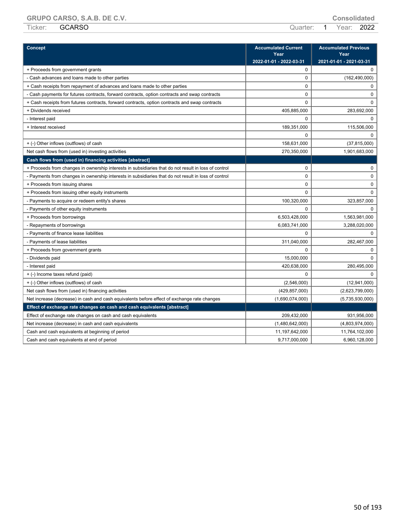| Concept                                                                                              | <b>Accumulated Current</b><br>Year | <b>Accumulated Previous</b><br>Year |
|------------------------------------------------------------------------------------------------------|------------------------------------|-------------------------------------|
|                                                                                                      | 2022-01-01 - 2022-03-31            | 2021-01-01 - 2021-03-31             |
| + Proceeds from government grants                                                                    | 0                                  | $\mathbf 0$                         |
| - Cash advances and loans made to other parties                                                      | 0                                  | (162, 490, 000)                     |
| + Cash receipts from repayment of advances and loans made to other parties                           | 0                                  | $\mathbf 0$                         |
| - Cash payments for futures contracts, forward contracts, option contracts and swap contracts        | $\mathbf 0$                        | $\mathbf 0$                         |
| + Cash receipts from futures contracts, forward contracts, option contracts and swap contracts       | $\Omega$                           | $\mathbf 0$                         |
| + Dividends received                                                                                 | 405,885,000                        | 283,692,000                         |
| - Interest paid                                                                                      | $\Omega$                           | $\Omega$                            |
| + Interest received                                                                                  | 189,351,000                        | 115,506,000                         |
|                                                                                                      | $\Omega$                           | $\Omega$                            |
| + (-) Other inflows (outflows) of cash                                                               | 158,631,000                        | (37, 815, 000)                      |
| Net cash flows from (used in) investing activities                                                   | 270,350,000                        | 1,901,683,000                       |
| Cash flows from (used in) financing activities [abstract]                                            |                                    |                                     |
| + Proceeds from changes in ownership interests in subsidiaries that do not result in loss of control | 0                                  | 0                                   |
| - Payments from changes in ownership interests in subsidiaries that do not result in loss of control | $\Omega$                           | $\mathbf 0$                         |
| + Proceeds from issuing shares                                                                       | 0                                  | 0                                   |
| + Proceeds from issuing other equity instruments                                                     | $\Omega$                           | $\mathbf 0$                         |
| - Payments to acquire or redeem entity's shares                                                      | 100,320,000                        | 323,857,000                         |
| - Payments of other equity instruments                                                               | 0                                  | $\Omega$                            |
| + Proceeds from borrowings                                                                           | 6,503,428,000                      | 1,563,981,000                       |
| - Repayments of borrowings                                                                           | 6,083,741,000                      | 3,288,020,000                       |
| - Payments of finance lease liabilities                                                              | $\Omega$                           | $\Omega$                            |
| - Payments of lease liabilities                                                                      | 311,040,000                        | 282,467,000                         |
| + Proceeds from government grants                                                                    | 0                                  | $\mathbf 0$                         |
| - Dividends paid                                                                                     | 15,000,000                         | $\Omega$                            |
| - Interest paid                                                                                      | 420,638,000                        | 280,495,000                         |
| + (-) Income taxes refund (paid)                                                                     | 0                                  | $\Omega$                            |
| + (-) Other inflows (outflows) of cash                                                               | (2,546,000)                        | (12,941,000)                        |
| Net cash flows from (used in) financing activities                                                   | (429, 857, 000)                    | (2,623,799,000)                     |
| Net increase (decrease) in cash and cash equivalents before effect of exchange rate changes          | (1,690,074,000)                    | (5,735,930,000)                     |
| Effect of exchange rate changes on cash and cash equivalents [abstract]                              |                                    |                                     |
| Effect of exchange rate changes on cash and cash equivalents                                         | 209,432,000                        | 931,956,000                         |
| Net increase (decrease) in cash and cash equivalents                                                 | (1,480,642,000)                    | (4,803,974,000)                     |
| Cash and cash equivalents at beginning of period                                                     | 11,197,642,000                     | 11,764,102,000                      |
| Cash and cash equivalents at end of period                                                           | 9,717,000,000                      | 6,960,128,000                       |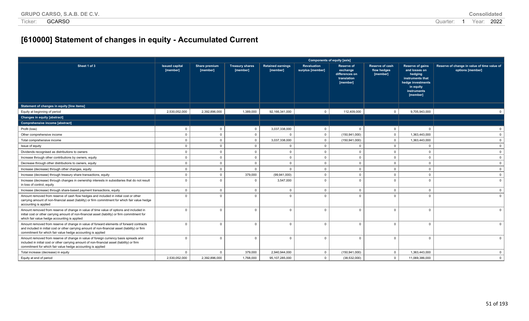# **[610000] Statement of changes in equity - Accumulated Current**

|                                                                                                                                                                                                                                                            |                                   | <b>Components of equity [axis]</b> |                                    |                                      |                                 |                                                                            |                                            |                                                                                                                               |                                                                 |
|------------------------------------------------------------------------------------------------------------------------------------------------------------------------------------------------------------------------------------------------------------|-----------------------------------|------------------------------------|------------------------------------|--------------------------------------|---------------------------------|----------------------------------------------------------------------------|--------------------------------------------|-------------------------------------------------------------------------------------------------------------------------------|-----------------------------------------------------------------|
| Sheet 1 of 3                                                                                                                                                                                                                                               | <b>Issued capital</b><br>[member] | Share premium<br>[member]          | <b>Treasury shares</b><br>[member] | <b>Retained earnings</b><br>[member] | Revaluation<br>surplus [member] | <b>Reserve of</b><br>exchange<br>differences on<br>translation<br>[member] | Reserve of cash<br>flow hedges<br>[member] | Reserve of gains<br>and losses on<br>hedging<br>instruments that<br>hedge investments<br>in equity<br>instruments<br>[member] | Reserve of change in value of time value of<br>options [member] |
| Statement of changes in equity [line items]                                                                                                                                                                                                                |                                   |                                    |                                    |                                      |                                 |                                                                            |                                            |                                                                                                                               |                                                                 |
| Equity at beginning of period                                                                                                                                                                                                                              | 2.530.052.000                     | 2,392,896,000                      | 1,389,000                          | 92,166,341,000                       | $\mathbf 0$                     | 112,409,000                                                                | $\overline{0}$                             | 9,705,943,000                                                                                                                 |                                                                 |
| <b>Changes in equity [abstract]</b>                                                                                                                                                                                                                        |                                   |                                    |                                    |                                      |                                 |                                                                            |                                            |                                                                                                                               |                                                                 |
| Comprehensive income [abstract]                                                                                                                                                                                                                            |                                   |                                    |                                    |                                      |                                 |                                                                            |                                            |                                                                                                                               |                                                                 |
| Profit (loss)                                                                                                                                                                                                                                              | $\Omega$                          | $\mathbf 0$                        | $\overline{0}$                     | 3,037,338,000                        | $\mathbf 0$                     | $\Omega$                                                                   | $\mathbf{0}$                               | $\mathbf{0}$                                                                                                                  | $\Omega$                                                        |
| Other comprehensive income                                                                                                                                                                                                                                 | $\Omega$                          | $\Omega$                           | $\overline{0}$                     | $\Omega$                             | $\mathbf 0$                     | (150, 941, 000)                                                            | $\mathbf{0}$                               | 1,363,443,000                                                                                                                 | $\Omega$                                                        |
| Total comprehensive income                                                                                                                                                                                                                                 | $\Omega$                          | $\mathbf{0}$                       | $\overline{0}$                     | 3,037,338,000                        | $\mathbf 0$                     | (150, 941, 000)                                                            | $\mathbf{0}$                               | 1,363,443,000                                                                                                                 | $\Omega$                                                        |
| Issue of equity                                                                                                                                                                                                                                            | $\Omega$                          | $\Omega$                           | $\overline{0}$                     | $\mathbf{0}$                         | $\Omega$                        | $\Omega$                                                                   | $\mathbf{0}$                               | $\mathbf{0}$                                                                                                                  | $\mathbf{0}$                                                    |
| Dividends recognised as distributions to owners                                                                                                                                                                                                            | $\mathbf{0}$                      | $\Omega$                           | $\Omega$                           | $\mathbf{0}$                         | $\mathbf 0$                     | $\overline{0}$                                                             | $\mathbf{0}$                               | $\mathbf 0$                                                                                                                   | $\mathbf{0}$                                                    |
| Increase through other contributions by owners, equity                                                                                                                                                                                                     | $\Omega$                          | $\Omega$                           | $\overline{0}$                     | $\mathbf{0}$                         | $\Omega$                        | $\Omega$                                                                   | $\mathbf{0}$                               | $\overline{0}$                                                                                                                | $\mathbf{0}$                                                    |
| Decrease through other distributions to owners, equity                                                                                                                                                                                                     | $\Omega$                          | $\Omega$                           | $\overline{0}$                     | $\mathbf{0}$                         | $\mathbf 0$                     | $\Omega$                                                                   | $\overline{0}$                             | $\mathbf 0$                                                                                                                   | $\mathbf{0}$                                                    |
| Increase (decrease) through other changes, equity                                                                                                                                                                                                          | $\Omega$                          | $\Omega$                           | $\Omega$                           | $\Omega$                             | $\mathbf 0$                     | $\Omega$                                                                   | $\Omega$                                   | $\mathbf 0$                                                                                                                   | $\mathbf{0}$                                                    |
| Increase (decrease) through treasury share transactions, equity                                                                                                                                                                                            | $\Omega$                          | $\mathbf 0$                        | 379,000                            | (99, 941, 000)                       | $\mathbf 0$                     | $\overline{0}$                                                             | $\mathbf 0$                                | $\mathbf 0$                                                                                                                   | $\mathbf 0$                                                     |
| Increase (decrease) through changes in ownership interests in subsidiaries that do not result<br>in loss of control, equity                                                                                                                                | $\Omega$                          | $\Omega$                           | $\Omega$                           | 3,547,000                            | $\Omega$                        | - 0                                                                        | $\Omega$                                   | $\Omega$                                                                                                                      | $\Omega$                                                        |
| Increase (decrease) through share-based payment transactions, equity                                                                                                                                                                                       | $\mathbf 0$                       | $\mathbf 0$                        | $\overline{0}$                     | $\Omega$                             | $\overline{0}$                  | $\overline{0}$                                                             | $\mathbf{0}$                               | $\mathbf{0}$                                                                                                                  | $\mathbf{0}$                                                    |
| Amount removed from reserve of cash flow hedges and included in initial cost or other<br>carrying amount of non-financial asset (liability) or firm commitment for which fair value hedge<br>accounting is applied                                         | $\Omega$                          | $\Omega$                           | $\Omega$                           | $\Omega$                             | $\Omega$                        | $\Omega$                                                                   | $\Omega$                                   | $\Omega$                                                                                                                      | $\Omega$                                                        |
| Amount removed from reserve of change in value of time value of options and included in<br>initial cost or other carrying amount of non-financial asset (liability) or firm commitment for<br>which fair value hedge accounting is applied                 | $\Omega$                          | $\Omega$                           | $\Omega$                           | $\Omega$                             | $\Omega$                        | - 0                                                                        | $\Omega$                                   | $\Omega$                                                                                                                      |                                                                 |
| Amount removed from reserve of change in value of forward elements of forward contracts<br>and included in initial cost or other carrying amount of non-financial asset (liability) or firm<br>commitment for which fair value hedge accounting is applied | $\Omega$                          | $\Omega$                           | $\Omega$                           | $\Omega$                             | $\Omega$                        | - 0                                                                        | $\Omega$                                   | $\Omega$                                                                                                                      | $\cap$                                                          |
| Amount removed from reserve of change in value of foreign currency basis spreads and<br>included in initial cost or other carrying amount of non-financial asset (liability) or firm<br>commitment for which fair value hedge accounting is applied        | $\Omega$                          | $\Omega$                           | $\Omega$                           | $\Omega$                             | $\Omega$                        | $\Omega$                                                                   | $\Omega$                                   | $\Omega$                                                                                                                      | $\Omega$                                                        |
| Total increase (decrease) in equity                                                                                                                                                                                                                        | $\Omega$                          | $\mathbf{0}$                       | 379,000                            | 2,940,944,000                        | $\mathbf{0}$                    | (150, 941, 000)                                                            | $\mathbf 0$                                | 1,363,443,000                                                                                                                 | $\mathbf 0$                                                     |
| Equity at end of period                                                                                                                                                                                                                                    | 2,530,052,000                     | 2,392,896,000                      | 1,768,000                          | 95, 107, 285, 000                    | $\mathbf 0$                     | (38, 532, 000)                                                             | $\mathsf 0$                                | 11,069,386,000                                                                                                                | $\overline{0}$                                                  |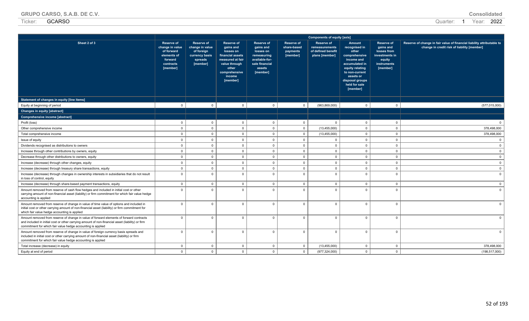| <b>GRUPO CARSO, S.A.B. DE C.V.</b> | Consolidated |
|------------------------------------|--------------|
|------------------------------------|--------------|

| Sheet 2 of 3                                                                                                                                                                                                                                               | <b>Reserve of</b><br>change in value<br>of forward<br>elements of<br>forward<br>contracts<br>[member] | <b>Reserve of</b><br>change in value<br>of foreign<br>currency basis<br>spreads<br>[member] | Reserve of<br>gains and<br>losses on<br>financial assets<br>measured at fair<br>value through<br>other<br>comprehensive<br>income<br>[member] | <b>Reserve of</b><br>gains and<br>losses on<br>remeasuring<br>available-for-<br>sale financial<br>assets<br>[member] | <b>Reserve of</b><br>share-based<br>payments<br>[member] | <b>Reserve of</b><br>remeasurements<br>of defined benefit<br>plans [member] | Amount<br>recognised in<br>other<br>comprehensive<br>income and<br>accumulated in<br>equity relating<br>to non-current<br>assets or<br>disposal groups<br>held for sale<br>[member] | <b>Reserve of</b><br>gains and<br>losses from<br>investments in<br>equity<br>instruments<br>[member] | Reserve of change in fair value of financial liability attributable to<br>change in credit risk of liability [member] |
|------------------------------------------------------------------------------------------------------------------------------------------------------------------------------------------------------------------------------------------------------------|-------------------------------------------------------------------------------------------------------|---------------------------------------------------------------------------------------------|-----------------------------------------------------------------------------------------------------------------------------------------------|----------------------------------------------------------------------------------------------------------------------|----------------------------------------------------------|-----------------------------------------------------------------------------|-------------------------------------------------------------------------------------------------------------------------------------------------------------------------------------|------------------------------------------------------------------------------------------------------|-----------------------------------------------------------------------------------------------------------------------|
| Statement of changes in equity [line items]                                                                                                                                                                                                                |                                                                                                       |                                                                                             |                                                                                                                                               |                                                                                                                      |                                                          |                                                                             |                                                                                                                                                                                     |                                                                                                      |                                                                                                                       |
| Equity at beginning of period                                                                                                                                                                                                                              | $\overline{0}$                                                                                        | $\mathbf 0$                                                                                 | $\overline{0}$                                                                                                                                | $\mathbf{0}$                                                                                                         | $\mathbf 0$                                              | (963, 869, 000)                                                             | $\overline{0}$                                                                                                                                                                      | $\Omega$                                                                                             | (577, 015, 000)                                                                                                       |
| Changes in equity [abstract]                                                                                                                                                                                                                               |                                                                                                       |                                                                                             |                                                                                                                                               |                                                                                                                      |                                                          |                                                                             |                                                                                                                                                                                     |                                                                                                      |                                                                                                                       |
| Comprehensive income [abstract]                                                                                                                                                                                                                            |                                                                                                       |                                                                                             |                                                                                                                                               |                                                                                                                      |                                                          |                                                                             |                                                                                                                                                                                     |                                                                                                      |                                                                                                                       |
| Profit (loss)                                                                                                                                                                                                                                              | $\overline{0}$                                                                                        | $\mathbf 0$                                                                                 | $\mathbf{0}$                                                                                                                                  | $\mathbf{0}$                                                                                                         | $\mathbf 0$                                              | $\Omega$                                                                    | $\mathbf{0}$                                                                                                                                                                        | $\Omega$                                                                                             |                                                                                                                       |
| Other comprehensive income                                                                                                                                                                                                                                 | $\overline{0}$                                                                                        | $\Omega$                                                                                    | $\Omega$                                                                                                                                      | $\Omega$                                                                                                             | $\mathbf 0$                                              | (13, 455, 000)                                                              | $\overline{0}$                                                                                                                                                                      | $\Omega$                                                                                             | 378,498,000                                                                                                           |
| Total comprehensive income                                                                                                                                                                                                                                 | $\overline{0}$                                                                                        | $\mathbf 0$                                                                                 | $\Omega$                                                                                                                                      | $\Omega$                                                                                                             | $\mathbf 0$                                              | (13, 455, 000)                                                              | $\mathbf{0}$                                                                                                                                                                        | $\Omega$                                                                                             | 378,498,000                                                                                                           |
| Issue of equity                                                                                                                                                                                                                                            | $\overline{0}$                                                                                        | $\mathbf 0$                                                                                 | $\Omega$                                                                                                                                      | $\Omega$                                                                                                             | $\mathbf 0$                                              | $\Omega$                                                                    | $\mathbf{0}$                                                                                                                                                                        | $\Omega$                                                                                             |                                                                                                                       |
| Dividends recognised as distributions to owners                                                                                                                                                                                                            | $\overline{0}$                                                                                        | $\mathbf 0$                                                                                 | $\mathbf{0}$                                                                                                                                  | $\mathbf{0}$                                                                                                         | $\mathbf 0$                                              | $\mathbf{0}$                                                                | $\overline{0}$                                                                                                                                                                      | $\mathbf{0}$                                                                                         |                                                                                                                       |
| Increase through other contributions by owners, equity                                                                                                                                                                                                     | $\overline{0}$                                                                                        | $\mathbf 0$                                                                                 | $\mathbf{0}$                                                                                                                                  | $\mathbf{0}$                                                                                                         | $\mathbf 0$                                              | $\overline{0}$                                                              | $\overline{0}$                                                                                                                                                                      | $\Omega$                                                                                             |                                                                                                                       |
| Decrease through other distributions to owners, equity                                                                                                                                                                                                     | $\overline{0}$                                                                                        | $\Omega$                                                                                    | $\Omega$                                                                                                                                      | $\Omega$                                                                                                             | $\Omega$                                                 | $\Omega$                                                                    | $\overline{0}$                                                                                                                                                                      | $\Omega$                                                                                             |                                                                                                                       |
| Increase (decrease) through other changes, equity                                                                                                                                                                                                          | $\overline{0}$                                                                                        | $\Omega$                                                                                    | $\Omega$                                                                                                                                      | $\Omega$                                                                                                             | $\mathbf 0$                                              | $\overline{0}$                                                              | $\overline{0}$                                                                                                                                                                      | $\Omega$                                                                                             |                                                                                                                       |
| Increase (decrease) through treasury share transactions, equity                                                                                                                                                                                            | $\overline{0}$                                                                                        | $\Omega$                                                                                    | $\Omega$                                                                                                                                      | $\Omega$                                                                                                             | $\mathbf 0$                                              | $\overline{0}$                                                              | $\overline{0}$                                                                                                                                                                      | $\Omega$                                                                                             |                                                                                                                       |
| Increase (decrease) through changes in ownership interests in subsidiaries that do not result<br>in loss of control, equity                                                                                                                                | $\overline{0}$                                                                                        | $\Omega$                                                                                    | $\Omega$                                                                                                                                      | $\Omega$                                                                                                             | $\mathbf 0$                                              | $\overline{0}$                                                              | $\Omega$                                                                                                                                                                            | $\Omega$                                                                                             |                                                                                                                       |
| Increase (decrease) through share-based payment transactions, equity                                                                                                                                                                                       | $\overline{0}$                                                                                        | $\mathbf 0$                                                                                 | $\mathbf{0}$                                                                                                                                  | $\Omega$                                                                                                             | $\mathbf 0$                                              | $\overline{0}$                                                              | $\overline{0}$                                                                                                                                                                      | $\Omega$                                                                                             | $\Omega$                                                                                                              |
| Amount removed from reserve of cash flow hedges and included in initial cost or other<br>carrying amount of non-financial asset (liability) or firm commitment for which fair value hedge<br>accounting is applied                                         | $\Omega$                                                                                              | $\Omega$                                                                                    | $\Omega$                                                                                                                                      | $\Omega$                                                                                                             | $\Omega$                                                 | $\Omega$                                                                    | $\Omega$                                                                                                                                                                            | $\Omega$                                                                                             |                                                                                                                       |
| Amount removed from reserve of change in value of time value of options and included in<br>initial cost or other carrying amount of non-financial asset (liability) or firm commitment for<br>which fair value hedge accounting is applied                 | $\overline{0}$                                                                                        | $\Omega$                                                                                    | $\Omega$                                                                                                                                      | $\Omega$                                                                                                             | $\mathbf 0$                                              | $\mathbf{0}$                                                                | $\overline{0}$                                                                                                                                                                      | $\Omega$                                                                                             |                                                                                                                       |
| Amount removed from reserve of change in value of forward elements of forward contracts<br>and included in initial cost or other carrying amount of non-financial asset (liability) or firm<br>commitment for which fair value hedge accounting is applied | $\overline{\mathbf{0}}$                                                                               | $\Omega$                                                                                    | $\Omega$                                                                                                                                      | $\Omega$                                                                                                             | $\mathbf 0$                                              | $\mathbf 0$                                                                 | $\overline{0}$                                                                                                                                                                      | $\Omega$                                                                                             |                                                                                                                       |
| Amount removed from reserve of change in value of foreign currency basis spreads and<br>included in initial cost or other carrying amount of non-financial asset (liability) or firm<br>commitment for which fair value hedge accounting is applied        | $\overline{0}$                                                                                        | $\Omega$                                                                                    | $\mathbf{0}$                                                                                                                                  | $\Omega$                                                                                                             | $\mathbf 0$                                              | $\mathbf 0$                                                                 | $\overline{0}$                                                                                                                                                                      | $\Omega$                                                                                             |                                                                                                                       |
| Total increase (decrease) in equity                                                                                                                                                                                                                        | $\mathbf 0$                                                                                           | $\mathbf 0$                                                                                 | $\mathbf{0}$                                                                                                                                  | $\mathbf{0}$                                                                                                         | $\mathbf 0$                                              | (13, 455, 000)                                                              | $\mathbf 0$                                                                                                                                                                         | $\mathbf{0}$                                                                                         | 378,498,000                                                                                                           |
| Equity at end of period                                                                                                                                                                                                                                    | $\Omega$                                                                                              | $\Omega$                                                                                    | $\Omega$                                                                                                                                      | $\Omega$                                                                                                             | $\mathbf{0}$                                             | (977, 324, 000)                                                             | $\Omega$                                                                                                                                                                            | $\Omega$                                                                                             | (198, 517, 000)                                                                                                       |

**Components of equity [axis]**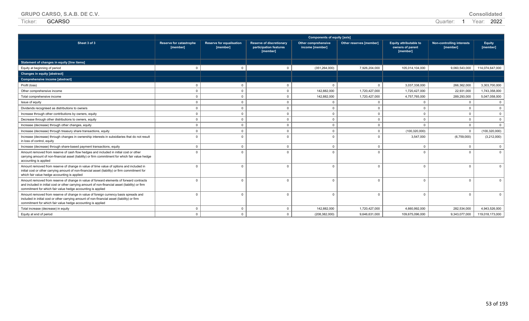| <b>GRUPO CARSO, S.A.B. DE C.V.</b> | <b>Consolidated</b> |
|------------------------------------|---------------------|
|------------------------------------|---------------------|

| Sheet 3 of 3                                                                                                                                                                                                                                               | <b>Reserve for catastrophe</b><br>[member] | Reserve for equalisation<br>[member] | <b>Reserve of discretionary</b><br>participation features<br>[member] | <b>Other comprehensive</b><br>income [member] | Other reserves [member] | <b>Equity attributable to</b><br>owners of parent<br>[member] | <b>Non-controlling interests</b><br>[member] | <b>Equity</b><br>[member] |
|------------------------------------------------------------------------------------------------------------------------------------------------------------------------------------------------------------------------------------------------------------|--------------------------------------------|--------------------------------------|-----------------------------------------------------------------------|-----------------------------------------------|-------------------------|---------------------------------------------------------------|----------------------------------------------|---------------------------|
| Statement of changes in equity [line items]                                                                                                                                                                                                                |                                            |                                      |                                                                       |                                               |                         |                                                               |                                              |                           |
| Equity at beginning of period                                                                                                                                                                                                                              | $\Omega$                                   | $\Omega$                             | $\Omega$                                                              | (351, 264, 000)                               | 7,926,204,000           | 105,014,104,000                                               | 9,060,543,000                                | 114,074,647,000           |
| Changes in equity [abstract]                                                                                                                                                                                                                               |                                            |                                      |                                                                       |                                               |                         |                                                               |                                              |                           |
| Comprehensive income [abstract]                                                                                                                                                                                                                            |                                            |                                      |                                                                       |                                               |                         |                                                               |                                              |                           |
| Profit (loss)                                                                                                                                                                                                                                              | $\Omega$                                   | $\Omega$                             | $\Omega$                                                              | $\Omega$                                      | $\Omega$                | 3,037,338,000                                                 | 266,362,000                                  | 3.303.700.000             |
| Other comprehensive income                                                                                                                                                                                                                                 | $\Omega$                                   | $\Omega$                             | $\Omega$                                                              | 142,882,000                                   | 1,720,427,000           | 1,720,427,000                                                 | 22,931,000                                   | 1,743,358,000             |
| Total comprehensive income                                                                                                                                                                                                                                 | $\Omega$                                   | $\mathbf 0$                          | $\Omega$                                                              | 142,882,000                                   | 1,720,427,000           | 4,757,765,000                                                 | 289,293,000                                  | 5,047,058,000             |
| Issue of equity                                                                                                                                                                                                                                            | $\Omega$                                   | $\Omega$                             | $\Omega$                                                              | $\Omega$                                      | $\Omega$                | $\Omega$                                                      | $\Omega$                                     | $\mathbf{0}$              |
| Dividends recognised as distributions to owners                                                                                                                                                                                                            | $\Omega$                                   | $\mathbf 0$                          | $\Omega$                                                              | $\Omega$                                      | $\Omega$                | $\Omega$                                                      | $\Omega$                                     | $\mathbf{0}$              |
| Increase through other contributions by owners, equity                                                                                                                                                                                                     | $\Omega$                                   | $\mathbf 0$                          | $\Omega$                                                              | $\Omega$                                      | $\Omega$                | $\Omega$                                                      | $\Omega$                                     | $\mathbf{0}$              |
| Decrease through other distributions to owners, equity                                                                                                                                                                                                     | $\Omega$                                   | $\Omega$                             | $\Omega$                                                              | $\Omega$                                      | $\Omega$                | $\Omega$                                                      | $\Omega$                                     | $\mathbf{0}$              |
| Increase (decrease) through other changes, equity                                                                                                                                                                                                          | $\Omega$                                   | $\Omega$                             | $\Omega$                                                              | $\Omega$                                      | $\Omega$                | $\Omega$                                                      | $\Omega$                                     | $\mathbf{0}$              |
| Increase (decrease) through treasury share transactions, equity                                                                                                                                                                                            | $\Omega$                                   | $\Omega$                             | $\Omega$                                                              | $\Omega$                                      | $\Omega$                | (100, 320, 000)                                               | $\Omega$                                     | (100, 320, 000)           |
| Increase (decrease) through changes in ownership interests in subsidiaries that do not result<br>in loss of control, equity                                                                                                                                |                                            | $\Omega$                             |                                                                       | $\Omega$                                      |                         | 3,547,000                                                     | (6,759,000)                                  | (3,212,000)               |
| Increase (decrease) through share-based payment transactions, equity                                                                                                                                                                                       | $\Omega$                                   | $\Omega$                             | $\Omega$                                                              | $\Omega$                                      | $\Omega$                | $\Omega$                                                      | $\Omega$                                     | $\mathbf{0}$              |
| Amount removed from reserve of cash flow hedges and included in initial cost or other<br>carrying amount of non-financial asset (liability) or firm commitment for which fair value hedge<br>accounting is applied                                         |                                            | $\Omega$                             |                                                                       | $\Omega$                                      |                         | $\cap$                                                        | $\cap$                                       | $\Omega$                  |
| Amount removed from reserve of change in value of time value of options and included in<br>initial cost or other carrying amount of non-financial asset (liability) or firm commitment for<br>which fair value hedge accounting is applied                 |                                            | $\Omega$                             | $\Omega$                                                              | $\Omega$                                      | $\Omega$                | $\Omega$                                                      | $\Omega$                                     | $\Omega$                  |
| Amount removed from reserve of change in value of forward elements of forward contracts<br>and included in initial cost or other carrying amount of non-financial asset (liability) or firm<br>commitment for which fair value hedge accounting is applied | $\Omega$                                   | $\Omega$                             | $\Omega$                                                              | $\Omega$                                      | $\Omega$                | $\Omega$                                                      | $\Omega$                                     | $\Omega$                  |
| Amount removed from reserve of change in value of foreign currency basis spreads and<br>included in initial cost or other carrying amount of non-financial asset (liability) or firm<br>commitment for which fair value hedge accounting is applied        |                                            | $\Omega$                             |                                                                       | $\Omega$                                      | $\Omega$                | $\Omega$                                                      | $\Omega$                                     | $\Omega$                  |
| Total increase (decrease) in equity                                                                                                                                                                                                                        | $\Omega$                                   | $\Omega$                             | $\Omega$                                                              | 142.882.000                                   | 1,720,427,000           | 4.660.992.000                                                 | 282,534,000                                  | 4.943.526.000             |
| Equity at end of period                                                                                                                                                                                                                                    | $\Omega$                                   | $\Omega$                             | $\Omega$                                                              | (208, 382, 000)                               | 9.646.631.000           | 109.675.096.000                                               | 9,343,077,000                                | 119,018,173,000           |

**Components of equity [axis]**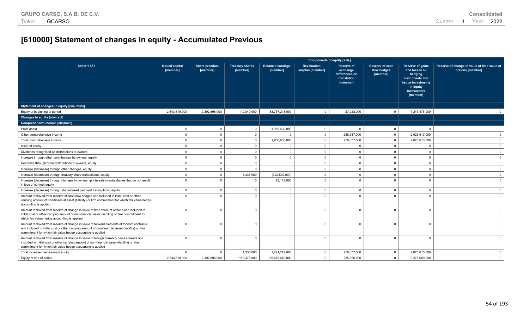# **[610000] Statement of changes in equity - Accumulated Previous**

|                                                                                                                                                                                                                                                            |                                   |                           |                                    |                                      |                                        | <b>Components of equity [axis]</b>                                         |                                            |                                                                                                                               |                                                                 |
|------------------------------------------------------------------------------------------------------------------------------------------------------------------------------------------------------------------------------------------------------------|-----------------------------------|---------------------------|------------------------------------|--------------------------------------|----------------------------------------|----------------------------------------------------------------------------|--------------------------------------------|-------------------------------------------------------------------------------------------------------------------------------|-----------------------------------------------------------------|
| Sheet 1 of 3                                                                                                                                                                                                                                               | <b>Issued capital</b><br>[member] | Share premium<br>[member] | <b>Treasury shares</b><br>[member] | <b>Retained earnings</b><br>[member] | <b>Revaluation</b><br>surplus [member] | <b>Reserve of</b><br>exchange<br>differences on<br>translation<br>[member] | Reserve of cash<br>flow hedges<br>[member] | Reserve of gains<br>and losses on<br>hedging<br>instruments that<br>hedge investments<br>in equity<br>instruments<br>[member] | Reserve of change in value of time value of<br>options [member] |
| Statement of changes in equity [line items]                                                                                                                                                                                                                |                                   |                           |                                    |                                      |                                        |                                                                            |                                            |                                                                                                                               |                                                                 |
| Equity at beginning of period                                                                                                                                                                                                                              | 2,643,619,000                     | 2,392,896,000             | 112.040.000                        | 83,757,218,000                       | $\mathbf 0$                            | 27,028,000                                                                 | $\mathbf{0}$                               | 7,247,476,000                                                                                                                 |                                                                 |
| <b>Changes in equity [abstract]</b>                                                                                                                                                                                                                        |                                   |                           |                                    |                                      |                                        |                                                                            |                                            |                                                                                                                               |                                                                 |
| Comprehensive income [abstract]                                                                                                                                                                                                                            |                                   |                           |                                    |                                      |                                        |                                                                            |                                            |                                                                                                                               |                                                                 |
| Profit (loss)                                                                                                                                                                                                                                              | $\mathbf 0$                       | $\mathbf 0$               | $\mathbf 0$                        | 1,950,630,000                        | $\mathbf 0$                            | - 0                                                                        | $\mathbf{0}$                               | $\mathbf{0}$                                                                                                                  | $\Omega$                                                        |
| Other comprehensive income                                                                                                                                                                                                                                 | $\mathbf 0$                       | $\Omega$                  | $\mathbf 0$                        | $\Omega$                             | $\mathbf 0$                            | 258,337,000                                                                | $\mathbf{0}$                               | 2,023,613,000                                                                                                                 | $\Omega$                                                        |
| Total comprehensive income                                                                                                                                                                                                                                 | $\mathbf{0}$                      | $\mathbf{0}$              | $\Omega$                           | 1,950,630,000                        | $\mathbf 0$                            | 258,337,000                                                                | $\mathbf{0}$                               | 2,023,613,000                                                                                                                 | $\Omega$                                                        |
| Issue of equity                                                                                                                                                                                                                                            | $\mathbf{0}$                      | $\mathbf{0}$              | $\Omega$                           | $\mathbf{0}$                         | $\Omega$                               | $\Omega$                                                                   | $\mathbf{0}$                               | $\Omega$                                                                                                                      | $\Omega$                                                        |
| Dividends recognised as distributions to owners                                                                                                                                                                                                            | $\overline{0}$                    | $\mathbf{0}$              | $\Omega$                           | $\mathbf{0}$                         | $\mathbf 0$                            | $\Omega$                                                                   | $\mathbf{0}$                               | $\mathbf 0$                                                                                                                   | $\mathbf{0}$                                                    |
| Increase through other contributions by owners, equity                                                                                                                                                                                                     | $\mathbf{0}$                      | $\mathbf{0}$              | $\Omega$                           | $\mathbf{0}$                         | $\mathbf 0$                            | $\Omega$                                                                   | $\mathbf{0}$                               | $\overline{0}$                                                                                                                | $\mathbf{0}$                                                    |
| Decrease through other distributions to owners, equity                                                                                                                                                                                                     | $\mathbf{0}$                      | $\mathbf{0}$              | $\Omega$                           | $\mathbf{0}$                         | $\mathbf 0$                            | $\Omega$                                                                   | $\overline{0}$                             | $\mathbf 0$                                                                                                                   | $\mathbf{0}$                                                    |
| Increase (decrease) through other changes, equity                                                                                                                                                                                                          | $\mathbf{0}$                      | $\mathbf{0}$              | $\Omega$                           | $\Omega$                             | $\mathbf 0$                            | $\Omega$                                                                   | $\Omega$                                   | $\mathbf{0}$                                                                                                                  | $\mathbf{0}$                                                    |
| Increase (decrease) through treasury share transactions, equity                                                                                                                                                                                            | $\mathbf{0}$                      | $\mathbf 0$               | 1,336,000                          | (322, 520, 000)                      | $\mathbf 0$                            | $\overline{0}$                                                             | $\mathbf 0$                                | $\mathbf 0$                                                                                                                   | $\mathbf 0$                                                     |
| Increase (decrease) through changes in ownership interests in subsidiaries that do not result<br>in loss of control, equity                                                                                                                                | $\Omega$                          | $\Omega$                  | $\Omega$                           | 93,112,000                           | $\Omega$                               | $\Omega$                                                                   | $\Omega$                                   | $\Omega$                                                                                                                      | $\Omega$                                                        |
| Increase (decrease) through share-based payment transactions, equity                                                                                                                                                                                       | $\mathbf 0$                       | $\mathbf{0}$              | $\mathbf 0$                        | $\Omega$                             | $\mathbf 0$                            | $\overline{0}$                                                             | $\mathbf{0}$                               | $\mathbf{0}$                                                                                                                  | $\mathbf{0}$                                                    |
| Amount removed from reserve of cash flow hedges and included in initial cost or other<br>carrying amount of non-financial asset (liability) or firm commitment for which fair value hedge<br>accounting is applied                                         | $\Omega$                          | $\Omega$                  | $\Omega$                           | $\Omega$                             | $\Omega$                               | $\Omega$                                                                   | $\Omega$                                   | $\Omega$                                                                                                                      | $\Omega$                                                        |
| Amount removed from reserve of change in value of time value of options and included in<br>initial cost or other carrying amount of non-financial asset (liability) or firm commitment for<br>which fair value hedge accounting is applied                 | $\Omega$                          | $\Omega$                  | $\Omega$                           | $\Omega$                             | $\Omega$                               | $\Omega$                                                                   | $\Omega$                                   | $\Omega$                                                                                                                      |                                                                 |
| Amount removed from reserve of change in value of forward elements of forward contracts<br>and included in initial cost or other carrying amount of non-financial asset (liability) or firm<br>commitment for which fair value hedge accounting is applied | $\Omega$                          | $\Omega$                  | $\Omega$                           | $\mathbf{0}$                         | $\Omega$                               | $\Omega$                                                                   | $\Omega$                                   | $\Omega$                                                                                                                      |                                                                 |
| Amount removed from reserve of change in value of foreign currency basis spreads and<br>included in initial cost or other carrying amount of non-financial asset (liability) or firm<br>commitment for which fair value hedge accounting is applied        | $\Omega$                          | $\Omega$                  | $\Omega$                           | $\Omega$                             | $\Omega$                               | $\Omega$                                                                   | $\Omega$                                   | $\Omega$                                                                                                                      | $\Omega$                                                        |
| Total increase (decrease) in equity                                                                                                                                                                                                                        | $\mathbf{0}$                      | $\mathbf{0}$              | 1,336,000                          | 1,721,222,000                        | $\mathbf{0}$                           | 258,337,000                                                                | $\mathbf 0$                                | 2,023,613,000                                                                                                                 | $\mathbf 0$                                                     |
| Equity at end of period                                                                                                                                                                                                                                    | 2,643,619,000                     | 2,392,896,000             | 113,376,000                        | 85,478,440,000                       | $\mathbf{0}$                           | 285,365,000                                                                | $\mathbf{0}$                               | 9,271,089,000                                                                                                                 | $\mathbf{0}$                                                    |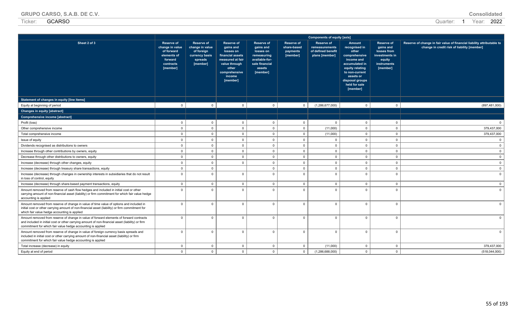| <b>GRUPO CARSO, S.A.B. DE C.V.</b> | Consolidated |
|------------------------------------|--------------|
|------------------------------------|--------------|

|                                                                                                                                                                                                                                                            |                                                                                                       |                                                                                             |                                                                                                                                               |                                                                                                                      |                                                          | <b>Components of equity [axis]</b>                                          |                                                                                                                                                                                     |                                                                                                      |                                                                                                                       |
|------------------------------------------------------------------------------------------------------------------------------------------------------------------------------------------------------------------------------------------------------------|-------------------------------------------------------------------------------------------------------|---------------------------------------------------------------------------------------------|-----------------------------------------------------------------------------------------------------------------------------------------------|----------------------------------------------------------------------------------------------------------------------|----------------------------------------------------------|-----------------------------------------------------------------------------|-------------------------------------------------------------------------------------------------------------------------------------------------------------------------------------|------------------------------------------------------------------------------------------------------|-----------------------------------------------------------------------------------------------------------------------|
| Sheet 2 of 3                                                                                                                                                                                                                                               | <b>Reserve of</b><br>change in value<br>of forward<br>elements of<br>forward<br>contracts<br>[member] | <b>Reserve of</b><br>change in value<br>of foreign<br>currency basis<br>spreads<br>[member] | Reserve of<br>gains and<br>losses on<br>financial assets<br>measured at fair<br>value through<br>other<br>comprehensive<br>income<br>[member] | <b>Reserve of</b><br>gains and<br>losses on<br>remeasuring<br>available-for-<br>sale financial<br>assets<br>[member] | <b>Reserve of</b><br>share-based<br>payments<br>[member] | <b>Reserve of</b><br>remeasurements<br>of defined benefit<br>plans [member] | Amount<br>recognised in<br>other<br>comprehensive<br>income and<br>accumulated in<br>equity relating<br>to non-current<br>assets or<br>disposal groups<br>held for sale<br>[member] | <b>Reserve of</b><br>gains and<br>losses from<br>investments in<br>equity<br>instruments<br>[member] | Reserve of change in fair value of financial liability attributable to<br>change in credit risk of liability [member] |
| Statement of changes in equity [line items]                                                                                                                                                                                                                |                                                                                                       |                                                                                             |                                                                                                                                               |                                                                                                                      |                                                          |                                                                             |                                                                                                                                                                                     |                                                                                                      |                                                                                                                       |
| Equity at beginning of period                                                                                                                                                                                                                              | $\mathbf 0$                                                                                           | $\mathbf 0$                                                                                 | $\mathbf{0}$                                                                                                                                  | $\mathbf{0}$                                                                                                         | $\mathbf 0$                                              | (1,286,677,000)                                                             | $\overline{\mathbf{0}}$                                                                                                                                                             | $\mathbf{0}$                                                                                         | (897, 481, 000)                                                                                                       |
| <b>Changes in equity [abstract]</b>                                                                                                                                                                                                                        |                                                                                                       |                                                                                             |                                                                                                                                               |                                                                                                                      |                                                          |                                                                             |                                                                                                                                                                                     |                                                                                                      |                                                                                                                       |
| Comprehensive income [abstract]                                                                                                                                                                                                                            |                                                                                                       |                                                                                             |                                                                                                                                               |                                                                                                                      |                                                          |                                                                             |                                                                                                                                                                                     |                                                                                                      |                                                                                                                       |
| Profit (loss)                                                                                                                                                                                                                                              | $\mathbf 0$                                                                                           | $\overline{0}$                                                                              | $\mathbf 0$                                                                                                                                   | $\mathbf{0}$                                                                                                         | $\mathbf 0$                                              | $\mathbf 0$                                                                 | $\mathbf 0$                                                                                                                                                                         | $\mathbf{0}$                                                                                         |                                                                                                                       |
| Other comprehensive income                                                                                                                                                                                                                                 | $\mathbf 0$                                                                                           | $\mathbf{0}$                                                                                | $\mathbf 0$                                                                                                                                   | $\mathbf{0}$                                                                                                         | $\mathbf 0$                                              | (11,000)                                                                    | $\mathbf 0$                                                                                                                                                                         | $\Omega$                                                                                             | 379,437,000                                                                                                           |
| Total comprehensive income                                                                                                                                                                                                                                 | $\overline{0}$                                                                                        | $\mathbf{0}$                                                                                | $\overline{0}$                                                                                                                                | $\mathbf{0}$                                                                                                         | $\mathbf 0$                                              | (11,000)                                                                    | $\overline{0}$                                                                                                                                                                      | $\Omega$                                                                                             | 379,437,000                                                                                                           |
| Issue of equity                                                                                                                                                                                                                                            | $\overline{0}$                                                                                        | $\mathbf 0$                                                                                 | $\Omega$                                                                                                                                      | $\mathbf{0}$                                                                                                         | $\mathbf 0$                                              | $\mathbf{0}$                                                                | $\overline{0}$                                                                                                                                                                      | $\Omega$                                                                                             |                                                                                                                       |
| Dividends recognised as distributions to owners                                                                                                                                                                                                            | $\mathbf 0$                                                                                           | $\mathbf 0$                                                                                 | $\mathbf{0}$                                                                                                                                  | $\mathbf{0}$                                                                                                         | $\mathbf 0$                                              | $\mathbf{0}$                                                                | $\mathbf 0$                                                                                                                                                                         | $\Omega$                                                                                             |                                                                                                                       |
| Increase through other contributions by owners, equity                                                                                                                                                                                                     | $\mathbf 0$                                                                                           | $\mathbf 0$                                                                                 | $\mathbf{0}$                                                                                                                                  | $\mathbf{0}$                                                                                                         | $\mathbf 0$                                              | $\mathbf 0$                                                                 | $\overline{\mathbf{0}}$                                                                                                                                                             | $\Omega$                                                                                             | $\Omega$                                                                                                              |
| Decrease through other distributions to owners, equity                                                                                                                                                                                                     | $\mathbf 0$                                                                                           | $\mathbf 0$                                                                                 | $\mathbf{0}$                                                                                                                                  | $\mathbf 0$                                                                                                          | $\mathbf{0}$                                             | $\mathbf 0$                                                                 | $\overline{\mathbf{0}}$                                                                                                                                                             | $\Omega$                                                                                             | $\Omega$                                                                                                              |
| Increase (decrease) through other changes, equity                                                                                                                                                                                                          | $\mathbf 0$                                                                                           | $\mathbf 0$                                                                                 | $\overline{0}$                                                                                                                                | $\mathbf 0$                                                                                                          | $\mathbf 0$                                              | $\mathbf 0$                                                                 | $\overline{\mathbf{0}}$                                                                                                                                                             | $\mathbf{0}$                                                                                         | $\mathbf{0}$                                                                                                          |
| Increase (decrease) through treasury share transactions, equity                                                                                                                                                                                            | $\overline{0}$                                                                                        | $\mathbf{0}$                                                                                |                                                                                                                                               | $\Omega$                                                                                                             | $\mathbf 0$                                              | $\overline{0}$                                                              | $\overline{0}$                                                                                                                                                                      | $\Omega$                                                                                             | $\Omega$                                                                                                              |
| Increase (decrease) through changes in ownership interests in subsidiaries that do not result<br>in loss of control, equity                                                                                                                                | $\overline{0}$                                                                                        | $\Omega$                                                                                    | $\Omega$                                                                                                                                      | $\Omega$                                                                                                             | $\mathbf 0$                                              | $\overline{0}$                                                              | $\Omega$                                                                                                                                                                            | $\Omega$                                                                                             | $\Omega$                                                                                                              |
| Increase (decrease) through share-based payment transactions, equity                                                                                                                                                                                       | $\mathbf 0$                                                                                           | $\mathbf 0$                                                                                 | $\mathbf 0$                                                                                                                                   | $\mathbf 0$                                                                                                          | $\mathsf 0$                                              | $\overline{0}$                                                              | $\mathbf 0$                                                                                                                                                                         | $\mathbf 0$                                                                                          | $\Omega$                                                                                                              |
| Amount removed from reserve of cash flow hedges and included in initial cost or other<br>carrying amount of non-financial asset (liability) or firm commitment for which fair value hedge<br>accounting is applied                                         | $\mathbf 0$                                                                                           | $\Omega$                                                                                    | $\mathbf{0}$                                                                                                                                  | $\Omega$                                                                                                             | $\Omega$                                                 | $\mathbf{0}$                                                                | $\Omega$                                                                                                                                                                            | $\Omega$                                                                                             |                                                                                                                       |
| Amount removed from reserve of change in value of time value of options and included in<br>initial cost or other carrying amount of non-financial asset (liability) or firm commitment for<br>which fair value hedge accounting is applied                 | $\overline{0}$                                                                                        | $\Omega$                                                                                    | $\Omega$                                                                                                                                      | $\Omega$                                                                                                             | $\mathbf 0$                                              | $\mathbf 0$                                                                 | $\overline{0}$                                                                                                                                                                      | $\Omega$                                                                                             |                                                                                                                       |
| Amount removed from reserve of change in value of forward elements of forward contracts<br>and included in initial cost or other carrying amount of non-financial asset (liability) or firm<br>commitment for which fair value hedge accounting is applied | $\overline{0}$                                                                                        | $\Omega$                                                                                    | $\Omega$                                                                                                                                      | $\Omega$                                                                                                             | $\mathbf 0$                                              | $\overline{0}$                                                              | $\Omega$                                                                                                                                                                            | $\Omega$                                                                                             | $\Omega$                                                                                                              |
| Amount removed from reserve of change in value of foreign currency basis spreads and<br>included in initial cost or other carrying amount of non-financial asset (liability) or firm<br>commitment for which fair value hedge accounting is applied        | $\overline{0}$                                                                                        | $\Omega$                                                                                    | $\Omega$                                                                                                                                      | $\Omega$                                                                                                             | $\mathbf 0$                                              | $\overline{0}$                                                              | $\overline{0}$                                                                                                                                                                      | $\Omega$                                                                                             | $\Omega$                                                                                                              |
| Total increase (decrease) in equity                                                                                                                                                                                                                        | $\mathbf 0$                                                                                           | $\mathbf 0$                                                                                 | $\mathbf 0$                                                                                                                                   | $\mathbf 0$                                                                                                          | $\mathbf 0$                                              | (11,000)                                                                    | $\mathbf 0$                                                                                                                                                                         | $\mathbf{0}$                                                                                         | 379,437,000                                                                                                           |
| Equity at end of period                                                                                                                                                                                                                                    | $\overline{0}$                                                                                        | $\Omega$                                                                                    | $\Omega$                                                                                                                                      | $\Omega$                                                                                                             | $\mathbf 0$                                              | (1,286,688,000)                                                             | $\mathbf{0}$                                                                                                                                                                        | $\Omega$                                                                                             | (518,044,000)                                                                                                         |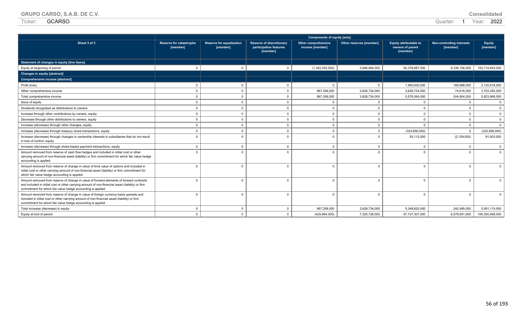| <b>GRUPO CARSO, S.A.B. DE C.V.</b> | <b>Consolidated</b> |
|------------------------------------|---------------------|
|------------------------------------|---------------------|

| Sheet 3 of 3                                                                                                                                                                                                                                               | <b>Reserve for catastrophe</b><br>[member] | Reserve for equalisation<br>[member] | <b>Reserve of discretionary</b><br>participation features<br>[member] | <b>Other comprehensive</b><br>income [member] | Other reserves [member] | <b>Equity attributable to</b><br>owners of parent<br>[member] | <b>Non-controlling interests</b><br>[member] | <b>Equity</b><br>[member] |
|------------------------------------------------------------------------------------------------------------------------------------------------------------------------------------------------------------------------------------------------------------|--------------------------------------------|--------------------------------------|-----------------------------------------------------------------------|-----------------------------------------------|-------------------------|---------------------------------------------------------------|----------------------------------------------|---------------------------|
| Statement of changes in equity [line items]                                                                                                                                                                                                                |                                            |                                      |                                                                       |                                               |                         |                                                               |                                              |                           |
| Equity at beginning of period                                                                                                                                                                                                                              | $\Omega$                                   | $\Omega$                             | $\Omega$                                                              | (1,393,352,000)                               | 3,696,994,000           | 92,378,687,000                                                | 8,336,156,000                                | 100,714,843,000           |
| <b>Changes in equity [abstract]</b>                                                                                                                                                                                                                        |                                            |                                      |                                                                       |                                               |                         |                                                               |                                              |                           |
| Comprehensive income [abstract]                                                                                                                                                                                                                            |                                            |                                      |                                                                       |                                               |                         |                                                               |                                              |                           |
| Profit (loss)                                                                                                                                                                                                                                              | $\Omega$                                   | $\mathbf 0$                          | $\Omega$                                                              | $\Omega$                                      | $\mathbf{0}$            | 1.950.630.000                                                 | 169,988,000                                  | 2.120.618.000             |
| Other comprehensive income                                                                                                                                                                                                                                 | $\Omega$                                   | $\mathbf 0$                          | $\Omega$                                                              | 967,358,000                                   | 3,628,734,000           | 3,628,734,000                                                 | 74,616,000                                   | 3,703,350,000             |
| Total comprehensive income                                                                                                                                                                                                                                 | $\Omega$                                   | $\Omega$                             | $\Omega$                                                              | 967,358,000                                   | 3,628,734,000           | 5,579,364,000                                                 | 244,604,000                                  | 5,823,968,000             |
| Issue of equity                                                                                                                                                                                                                                            | $\Omega$                                   | $\mathbf 0$                          | $\Omega$                                                              | $\Omega$                                      | $\Omega$                | $\Omega$                                                      | $\Omega$                                     | $\overline{0}$            |
| Dividends recognised as distributions to owners                                                                                                                                                                                                            | $\Omega$                                   | $\Omega$                             | $\Omega$                                                              | $\Omega$                                      | $\Omega$                | $\Omega$                                                      | $\Omega$                                     | $\overline{0}$            |
| Increase through other contributions by owners, equity                                                                                                                                                                                                     | $\Omega$                                   | $\Omega$                             | $\Omega$                                                              | $\Omega$                                      | $\Omega$                | $\Omega$                                                      | $\Omega$                                     | $\overline{0}$            |
| Decrease through other distributions to owners, equity                                                                                                                                                                                                     |                                            | $\Omega$                             | $\Omega$                                                              | $\Omega$                                      | $\Omega$                | $\Omega$                                                      | $\Omega$                                     | $\overline{0}$            |
| Increase (decrease) through other changes, equity                                                                                                                                                                                                          | $\Omega$                                   | $\Omega$                             | $\Omega$                                                              | $\overline{\mathbf{0}}$                       | $\Omega$                | $\Omega$                                                      | $\Omega$                                     | $\overline{0}$            |
| Increase (decrease) through treasury share transactions, equity                                                                                                                                                                                            |                                            | $\mathbf 0$                          | $\Omega$                                                              | $\mathbf 0$                                   | $\Omega$                | (323, 856, 000)                                               | $\Omega$                                     | (323, 856, 000)           |
| Increase (decrease) through changes in ownership interests in subsidiaries that do not result<br>in loss of control, equity                                                                                                                                | $\Omega$                                   | $\Omega$                             | $\Omega$                                                              | $\Omega$                                      | $\Omega$                | 93,112,000                                                    | (2, 109, 000)                                | 91,003,000                |
| Increase (decrease) through share-based payment transactions, equity                                                                                                                                                                                       | $\Omega$                                   | $\Omega$                             | $\Omega$                                                              | $\Omega$                                      | $\Omega$                | $\Omega$                                                      | $\Omega$                                     | $\mathbf{0}$              |
| Amount removed from reserve of cash flow hedges and included in initial cost or other<br>carrying amount of non-financial asset (liability) or firm commitment for which fair value hedge<br>accounting is applied                                         |                                            | $\Omega$                             | $\Omega$                                                              | $\Omega$                                      | $\Omega$                |                                                               |                                              | $\Omega$                  |
| Amount removed from reserve of change in value of time value of options and included in<br>initial cost or other carrying amount of non-financial asset (liability) or firm commitment for<br>which fair value hedge accounting is applied                 |                                            | $\Omega$                             | $\Omega$                                                              | $\Omega$                                      | $\Omega$                | $\Omega$                                                      |                                              | $\Omega$                  |
| Amount removed from reserve of change in value of forward elements of forward contracts<br>and included in initial cost or other carrying amount of non-financial asset (liability) or firm<br>commitment for which fair value hedge accounting is applied | $\Omega$                                   | $\Omega$                             | $\Omega$                                                              | $\Omega$                                      | $\Omega$                | $\Omega$                                                      | $\Omega$                                     | $\Omega$                  |
| Amount removed from reserve of change in value of foreign currency basis spreads and<br>included in initial cost or other carrying amount of non-financial asset (liability) or firm<br>commitment for which fair value hedge accounting is applied        |                                            | $\Omega$                             | $\Omega$                                                              | $\Omega$                                      | $\Omega$                | $\Omega$                                                      | $\Omega$                                     | $\Omega$                  |
| Total increase (decrease) in equity                                                                                                                                                                                                                        | $\Omega$                                   | $\Omega$                             | $\Omega$                                                              | 967,358,000                                   | 3,628,734,000           | 5,348,620,000                                                 | 242,495,000                                  | 5,591,115,000             |
| Equity at end of period                                                                                                                                                                                                                                    |                                            | $\Omega$                             | $\Omega$                                                              | (425, 994, 000)                               | 7,325,728,000           | 97,727,307,000                                                | 8,578,651,000                                | 106,305,958,000           |

**Components of equity [axis]**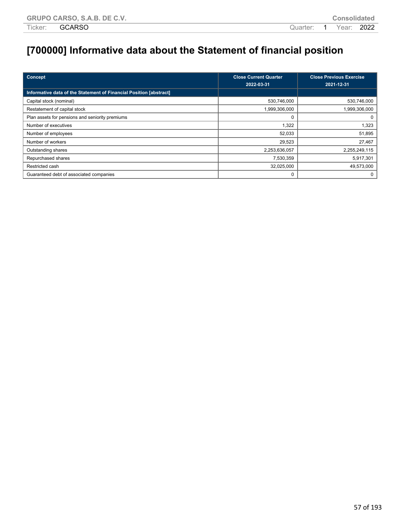# **[700000] Informative data about the Statement of financial position**

| Concept                                                            | <b>Close Current Quarter</b><br>2022-03-31 | <b>Close Previous Exercise</b><br>2021-12-31 |
|--------------------------------------------------------------------|--------------------------------------------|----------------------------------------------|
| Informative data of the Statement of Financial Position [abstract] |                                            |                                              |
| Capital stock (nominal)                                            | 530,746,000                                | 530,746,000                                  |
| Restatement of capital stock                                       | 1,999,306,000                              | 1,999,306,000                                |
| Plan assets for pensions and seniority premiums                    |                                            | 0                                            |
| Number of executives                                               | 1,322                                      | 1,323                                        |
| Number of employees                                                | 52,033                                     | 51,895                                       |
| Number of workers                                                  | 29,523                                     | 27,467                                       |
| Outstanding shares                                                 | 2,253,636,057                              | 2,255,249,115                                |
| Repurchased shares                                                 | 7,530,359                                  | 5,917,301                                    |
| Restricted cash                                                    | 32,025,000                                 | 49,573,000                                   |
| Guaranteed debt of associated companies                            | 0                                          | 0                                            |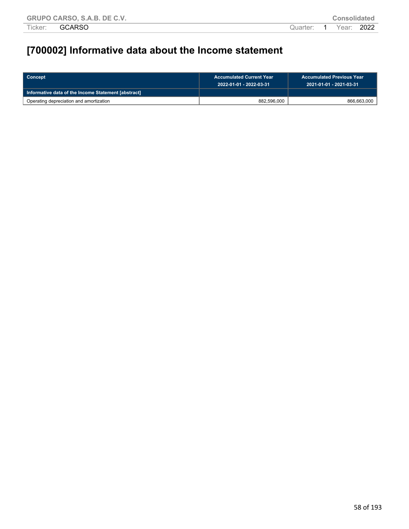# **[700002] Informative data about the Income statement**

| ∣ Concept                                           | <b>Accumulated Current Year</b><br>- 2022-01-01 - 2022-03-31' | <b>Accumulated Previous Year</b><br>2021-01-01 - 2021-03-31 |  |  |
|-----------------------------------------------------|---------------------------------------------------------------|-------------------------------------------------------------|--|--|
| Informative data of the Income Statement [abstract] |                                                               |                                                             |  |  |
| Operating depreciation and amortization             | 882,596,000                                                   | 866,663,000                                                 |  |  |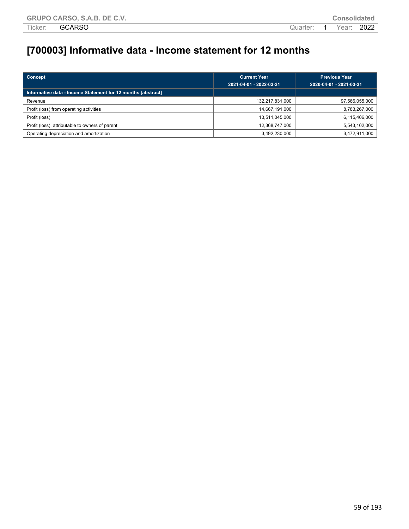# **[700003] Informative data - Income statement for 12 months**

| Concept                                                      | <b>Current Year</b><br>2021-04-01 - 2022-03-31 | <b>Previous Year</b><br>2020-04-01 - 2021-03-31 |  |
|--------------------------------------------------------------|------------------------------------------------|-------------------------------------------------|--|
| Informative data - Income Statement for 12 months [abstract] |                                                |                                                 |  |
| Revenue                                                      | 132,217,831,000                                | 97,566,055,000                                  |  |
| Profit (loss) from operating activities                      | 14,667,191,000                                 | 8,783,267,000                                   |  |
| Profit (loss)                                                | 13,511,045,000                                 | 6,115,406,000                                   |  |
| Profit (loss), attributable to owners of parent              | 12,368,747,000                                 | 5,543,102,000                                   |  |
| Operating depreciation and amortization                      | 3,492,230,000                                  | 3,472,911,000                                   |  |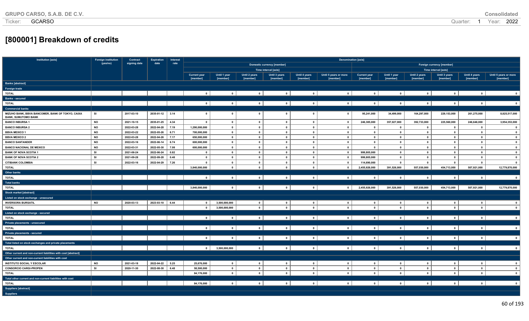# **[800001] Breakdown of credits**

| Institution [axis]                                                             | <b>Foreign institution</b> | Contract     | <b>Expiration</b>                                                              | Interest | <b>Denomination [axis]</b> |                         |                          |                          |                         |                          |                         |              |                         |                         |                         |                         |
|--------------------------------------------------------------------------------|----------------------------|--------------|--------------------------------------------------------------------------------|----------|----------------------------|-------------------------|--------------------------|--------------------------|-------------------------|--------------------------|-------------------------|--------------|-------------------------|-------------------------|-------------------------|-------------------------|
|                                                                                | (yes/no)                   | signing date | date<br>rate<br><b>Domestic currency [member]</b><br>Foreign currency [member] |          |                            |                         |                          |                          |                         |                          |                         |              |                         |                         |                         |                         |
|                                                                                |                            |              |                                                                                |          |                            |                         |                          | Time interval [axis]     |                         |                          |                         |              |                         | Time interval [axis]    |                         |                         |
|                                                                                |                            |              |                                                                                |          | <b>Current year</b>        | Until 1 year            | Until 2 years            | Until 3 years            | Until 4 years           | Until 5 years or more    | <b>Current year</b>     | Until 1 year | Until 2 years           | Until 3 years           | Until 4 years           | Until 5 years or more   |
|                                                                                |                            |              |                                                                                |          | [member]                   | [member]                | [member]                 | [member]                 | [member]                | [member]                 | [member]                | [member]     | [member]                | [member]                | [member]                | [member]                |
| <b>Banks</b> [abstract]                                                        |                            |              |                                                                                |          |                            |                         |                          |                          |                         |                          |                         |              |                         |                         |                         |                         |
| Foreign trade                                                                  |                            |              |                                                                                |          |                            |                         |                          |                          |                         |                          |                         |              |                         |                         |                         |                         |
| <b>TOTAL</b>                                                                   |                            |              |                                                                                |          | $0-1$                      | $\overline{\mathbf{0}}$ | $\overline{\phantom{0}}$ | $\circ$                  | $\circ$                 | $\circ$                  | $\overline{\mathbf{0}}$ | $\circ$      | $\overline{\mathbf{0}}$ | $\circ$                 | $\mathbf{0}$            | $\overline{\mathbf{0}}$ |
| <b>Banks - secured</b>                                                         |                            |              |                                                                                |          |                            |                         |                          |                          |                         |                          |                         |              |                         |                         |                         |                         |
| <b>TOTAL</b>                                                                   |                            |              |                                                                                |          | $\mathbf{0}$               | $\bullet$               | $\overline{0}$           | 0                        | 0 <sup>1</sup>          | $\circ$ 1                | $\bullet$               | $\mathbf{0}$ | $\mathbf{0}$            | $\bullet$               | $\mathbf 0$             | $\mathbf{0}$            |
| <b>Commercial banks</b>                                                        |                            |              |                                                                                |          |                            |                         |                          |                          |                         |                          |                         |              |                         |                         |                         |                         |
| MIZUHO BANK, BBVA BANCOMER, BANK OF TOKYO, CAIXA<br><b>BANK, SUMUTOMO BANK</b> | SI                         | 2017-03-10   | 2035-01-12                                                                     | 3.14     | $\mathbf{0}$               | $\mathbf 0$             | $\mathbf{0}$             | $\mathbf{0}$             | $\mathbf{0}$            | $\mathbf 0$              | 95,241,000              | 34,499,000   | 164,297,000             | 229,153,000             | 261,275,000             | 8,825,517,000           |
| <b>BANCO INBURSA 1</b>                                                         | <b>NO</b>                  | 2021-10-15   | 2035-01-25                                                                     | 4.34     | $\mathbf{0}$               | $\mathbf{0}$            | $\mathbf{0}$             | $\mathbf{0}$             | $\bullet$               | $\mathbf{0}$             | 246,385,000             | 357,027,000  | 392,733,000             | 225,560,000             | 246,646,000             | 3,954,353,000           |
| <b>BANCO INBURSA 2</b>                                                         | <b>NO</b>                  | 2022-03-28   | 2022-04-28                                                                     | 7.19     | 1,290,000,000              | $\mathbf{0}$            | $\mathbf{0}$             | $\mathbf{0}$             | $\mathbf{0}$            | $\overline{\mathbf{0}}$  | $\mathbf{0}$            | $\mathbf{0}$ | $\mathbf{0}$            | $\mathbf{0}$            | $\mathbf{0}$            | $\mathbf{0}$            |
| <b>BBVA MEXICO 1</b>                                                           | <b>NO</b>                  | 2022-03-22   | 2022-05-26                                                                     | 6.71     | 700,000,000                | $\mathbf{0}$            | $\mathbf{0}$             | $\mathbf{0}$             | $\mathbf{0}$            | $\mathbf{0}$             | $\overline{\mathbf{0}}$ | $\mathbf{0}$ | $\overline{\mathbf{0}}$ | $\mathbf{0}$            | $\mathbf{0}$            | $\mathbf{0}$            |
| <b>BBVA MEXICO 2</b>                                                           | <b>NO</b>                  | 2022-03-28   | 2022-04-26                                                                     | 7.17     | 650,000,000                | $\mathbf{0}$            | $\mathbf{0}$             | $\mathbf 0$              | $\mathbf{0}$            | $\mathbf{0}$             | $\overline{\mathbf{0}}$ | $\mathbf 0$  | $\mathbf{0}$            | $\mathbf{0}$            | $\mathbf{0}$            | $\mathbf{0}$            |
| <b>BANCO SANTANDER</b>                                                         | <b>NO</b>                  | 2022-03-16   | 2022-06-14                                                                     | 6.74     | 600.000.000                | $\mathbf{0}$            | $\mathbf{0}$             | $\mathbf{0}$             | $\mathbf{0}$            | $\mathbf{0}$             | $\mathbf{0}$            | $\mathbf{0}$ | $\mathbf{0}$            | $\mathbf{0}$            | $\mathbf{0}$            | $\mathbf{0}$            |
| <b>BANCO NACIONAL DE MEXICO</b>                                                | <b>NO</b>                  | 2022-03-31   | 2022-05-30                                                                     | 7.08     | 600,000,000                | $\mathbf{0}$            | $\mathbf{0}$             | $\mathbf{0}$             | $\mathbf{0}$            | $\mathbf{0}$             | $\mathbf{0}$            | $\mathbf 0$  | $\mathbf{0}$            | $\mathbf{a}$            | $\mathbf{0}$            | $\mathbf{0}$            |
| <b>BANK OF NOVA SCOTIA 1</b>                                                   | SI                         | 2021-06-24   | 2022-06-24                                                                     | 0.82     | $\mathbf 0$                | $\mathbf{0}$            | $\mathbf{0}$             | $\bullet$                | $\bullet$               | $\overline{\mathbf{0}}$  | 999,805,000             | $\bullet$    | $\mathbf{0}$            | $\mathbf{0}$            | $\mathbf{0}$            | $\overline{\mathbf{0}}$ |
| <b>BANK OF NOVA SCOTIA 2</b>                                                   | SI                         | 2021-09-28   | 2022-09-28                                                                     | 0.48     | $\mathbf{0}$               | $\mathbf{0}$            | $\mathbf{0}$             | $\mathbf 0$              | $\bullet$               | $\overline{\mathbf{0}}$  | 999,805,000             | $\mathbf{0}$ | $\mathbf 0$             | $\mathbf{0}$            | $\mathbf 0$             | $\mathbf{0}$            |
| <b>CITIBANK COLOMBIA</b>                                                       | SI                         | 2022-03-16   | 2022-04-29                                                                     | 7.26     | $\mathbf{0}$               | $\mathbf{0}$            | $\mathbf 0$              | $\mathbf 0$              | $\overline{\mathbf{0}}$ | $\mathbf{0}$             | 114,690,000             | $\mathbf{0}$ | $\mathbf{0}$            | $\mathbf{0}$            | $\mathbf{0}$            | $\mathbf{0}$            |
| <b>TOTAL</b>                                                                   |                            |              |                                                                                |          | 3,840,000,000              | $\mathbf{0}$            | $\mathbf{0}$             | $\mathbf{0}$             | $\mathbf{0}$            | $\mathbf{0}$             | 2,455,926,000           | 391,526,000  | 557,030,000             | 454,713,000             | 507,921,000             | 12,779,870,000          |
| <b>Other banks</b>                                                             |                            |              |                                                                                |          |                            |                         |                          |                          |                         |                          |                         |              |                         |                         |                         |                         |
| <b>TOTAL</b>                                                                   |                            |              |                                                                                |          | $\mathbf{0}$               | $\bullet$               | $\mathbf 0$              | $\mathbf{0}$             | $\bullet$               | $\overline{\mathbf{0}}$  | $\overline{\mathbf{0}}$ | $\mathbf 0$  | $\mathbf 0$             | $\mathbf{0}$            | $\mathbf 0$             | $\mathbf{0}$            |
| <b>Total banks</b>                                                             |                            |              |                                                                                |          |                            |                         |                          |                          |                         |                          |                         |              |                         |                         |                         |                         |
| <b>TOTAL</b>                                                                   |                            |              |                                                                                |          | 3,840,000,000              | $\mathbf{0}$            | $\overline{0}$           | $0-1$                    | 0 <sup>1</sup>          | 0 <sup>1</sup>           | 2,455,926,000           | 391,526,000  | 557,030,000             | 454,713,000             | 507,921,000             | 12,779,870,000          |
| <b>Stock market [abstract]</b>                                                 |                            |              |                                                                                |          |                            |                         |                          |                          |                         |                          |                         |              |                         |                         |                         |                         |
| Listed on stock exchange - unsecured                                           |                            |              |                                                                                |          |                            |                         |                          |                          |                         |                          |                         |              |                         |                         |                         |                         |
| <b>INVERSORA BURSATIL</b>                                                      | <b>NO</b>                  | 2020-03-13   | 2023-03-10                                                                     | 6.44     | $\circ$                    | 3,500,000,000           | $\mathbf{0}$             | $\mathbf{0}$             | $\bullet$               | $\mathbf{0}$             | $\mathbf 0$             | $\mathbf 0$  | $\mathbf{0}$            | $\mathbf{0}$            | $\mathbf{0}$            | $\bullet$               |
| <b>TOTAL</b>                                                                   |                            |              |                                                                                |          | $\mathbf{0}$               | 3,500,000,000           | $\mathbf{0}$             | $\mathbf{0}$             | $\mathbf{0}$            | $\mathbf{0}$             | $\mathbf{0}$            | $\mathbf{0}$ | $\mathbf{0}$            | $\mathbf{0}$            | $\mathbf{0}$            | $\mathbf{0}$            |
| Listed on stock exchange - secured                                             |                            |              |                                                                                |          |                            |                         |                          |                          |                         |                          |                         |              |                         |                         |                         |                         |
| <b>TOTAL</b>                                                                   |                            |              |                                                                                |          | $\bullet$                  | $\bullet$               | $\overline{0}$           | $\overline{\phantom{0}}$ | $\circ$ l               | $\overline{\phantom{0}}$ | $\overline{\mathbf{0}}$ | $\bullet$    | $\bullet$               | $\mathbf{0}$            | $\overline{\mathbf{0}}$ | $\overline{\mathbf{0}}$ |
| Private placements - unsecured                                                 |                            |              |                                                                                |          |                            |                         |                          |                          |                         |                          |                         |              |                         |                         |                         |                         |
| <b>TOTAL</b>                                                                   |                            |              |                                                                                |          | $\circ$                    | $\mathbf{0}$            | $\overline{0}$           | 0                        | 0 <sup>1</sup>          | $\overline{\phantom{0}}$ | $\overline{\mathbf{0}}$ | 0            | 0                       | $\overline{\mathbf{0}}$ | $\mathbf{0}$            | $\overline{\mathbf{0}}$ |
| Private placements - secured                                                   |                            |              |                                                                                |          |                            |                         |                          |                          |                         |                          |                         |              |                         |                         |                         |                         |
| <b>TOTAL</b>                                                                   |                            |              |                                                                                |          | $\mathbf{0}$               | $\mathbf{0}$            | $\mathbf 0$              | $0-1$                    | 0                       | 0                        | $\overline{\mathbf{0}}$ | $\bullet$    | 0                       | $\mathbf 0$             | $\mathbf{0}$            | $\mathbf{0}$            |
| Total listed on stock exchanges and private placements                         |                            |              |                                                                                |          |                            |                         |                          |                          |                         |                          |                         |              |                         |                         |                         |                         |
| <b>TOTAL</b>                                                                   |                            |              |                                                                                |          | $\circ$ 1                  | 3,500,000,000           | $\overline{\mathbf{0}}$  | $\mathbf{0}$             | $\bullet$               | $\overline{\mathbf{0}}$  | $\bullet$               | $\mathbf{0}$ | $\mathbf{0}$            | $\mathbf{0}$            | $\overline{\mathbf{0}}$ | $\bullet$               |
| Other current and non-current liabilities with cost [abstract]                 |                            |              |                                                                                |          |                            |                         |                          |                          |                         |                          |                         |              |                         |                         |                         |                         |
| Other current and non-current liabilities with cost                            |                            |              |                                                                                |          |                            |                         |                          |                          |                         |                          |                         |              |                         |                         |                         |                         |
| <b>INSTITUTO SOCIAL Y ESCOLAR</b>                                              | <b>NO</b>                  | 2021-03-18   | 2022-04-22                                                                     | 5.25     | 25,676,000                 | $\mathbf{0}$            | $\mathbf{0}$             | $\mathbf{0}$             | $\mathbf{0}$            | $\mathbf{0}$             | $\overline{\mathbf{0}}$ | $\mathbf{0}$ | $\mathbf 0$             | $\bullet$               | $\mathbf 0$             | $\mathbf{0}$            |
| <b>CONSORCIO CARGI-PROPEN</b>                                                  | <b>SI</b>                  | 2020-11-30   | 2022-08-30                                                                     | 6.48     | 58,500,000                 | $\bullet$               | $\mathbf{0}$             | $\bullet$                | $\mathbf{0}$            | $\mathbf{0}$             | $\bullet$               | $\mathbf{0}$ | $\mathbf{0}$            | $\mathbf{0}$            | $\mathbf{0}$            | $\bullet$               |
| <b>TOTAL</b>                                                                   |                            |              |                                                                                |          | 84,176,000                 | $\mathbf{0}$            | $\mathbf 0$              | $\mathbf{0}$             | $\mathbf{0}$            | $\mathbf{0}$             | $\mathbf{0}$            | $\mathbf 0$  | $\mathbf 0$             | $\mathbf{0}$            | $\mathbf{0}$            | $\overline{\mathbf{0}}$ |
| Total other current and non-current liabilities with cost                      |                            |              |                                                                                |          |                            |                         |                          |                          |                         |                          |                         |              |                         |                         |                         |                         |
| <b>TOTAL</b>                                                                   |                            |              |                                                                                |          | 84,176,000                 | $\mathbf{0}$            | $\overline{\mathbf{0}}$  | 0 <sup>1</sup>           | 0                       | 0                        | $\overline{\mathbf{0}}$ | $\mathbf{0}$ | $\bullet$               | $\mathbf{0}$            | $\mathbf{0}$            | $\overline{\mathbf{0}}$ |
| <b>Suppliers [abstract]</b>                                                    |                            |              |                                                                                |          |                            |                         |                          |                          |                         |                          |                         |              |                         |                         |                         |                         |
| <b>Suppliers</b>                                                               |                            |              |                                                                                |          |                            |                         |                          |                          |                         |                          |                         |              |                         |                         |                         |                         |
|                                                                                |                            |              |                                                                                |          |                            |                         |                          |                          |                         |                          |                         |              |                         |                         |                         |                         |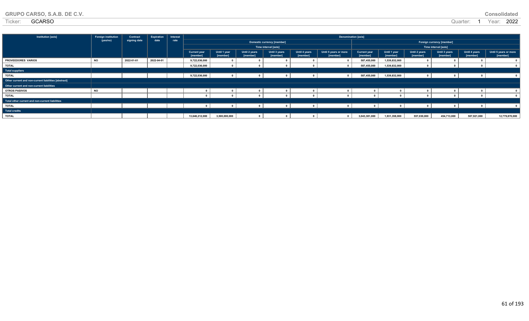| GRUPO CARSO, S.A.B. DE C.V. |  |
|-----------------------------|--|
|-----------------------------|--|

**Total other current and non-current liabilities**

**Total credits**

| Institution [axis]                                   | <b>Foreign institution</b> | Contract   | <b>Expiration</b> | Denomination [axis]<br>Interest |                                 |                          |                            |                           |                           |                                   |                                 |                          |                           |                           |                           |                                   |
|------------------------------------------------------|----------------------------|------------|-------------------|---------------------------------|---------------------------------|--------------------------|----------------------------|---------------------------|---------------------------|-----------------------------------|---------------------------------|--------------------------|---------------------------|---------------------------|---------------------------|-----------------------------------|
| signing date<br>date<br>(yes/no)<br>rate             |                            |            |                   |                                 |                                 |                          | Domestic currency [member] |                           |                           | Foreign currency [member]         |                                 |                          |                           |                           |                           |                                   |
|                                                      |                            |            |                   |                                 |                                 |                          |                            | Time interval [axis]      |                           |                                   |                                 |                          |                           | Time interval [axis]      |                           |                                   |
|                                                      |                            |            |                   |                                 | <b>Current year</b><br>[member] | Until 1 year<br>[member] | Until 2 years<br>[member]  | Until 3 years<br>[member] | Until 4 years<br>[member] | Until 5 years or more<br>[member] | <b>Current year</b><br>[member] | Until 1 year<br>[member] | Until 2 years<br>[member] | Until 3 years<br>[member] | Until 4 years<br>[member] | Until 5 years or more<br>[member] |
| PROVEEDORES VARIOS                                   |                            | 2022-01-01 | 2022-04-01        |                                 | 9,722,036,000                   |                          |                            |                           |                           |                                   | 587,455,000                     | 1,539,832,000            |                           |                           |                           |                                   |
| TOTAL                                                |                            |            |                   |                                 | 9,722,036,000                   |                          |                            |                           |                           |                                   | 587,455,000                     | 1,539,832,000            |                           |                           |                           |                                   |
| <b>Total suppliers</b>                               |                            |            |                   |                                 |                                 |                          |                            |                           |                           |                                   |                                 |                          |                           |                           |                           |                                   |
| <b>TOTAL</b>                                         |                            |            |                   |                                 | 9,722,036,000                   |                          |                            |                           |                           |                                   | 587,455,000                     | 1,539,832,000            |                           |                           |                           |                                   |
| Other current and non-current liabilities [abstract] |                            |            |                   |                                 |                                 |                          |                            |                           |                           |                                   |                                 |                          |                           |                           |                           |                                   |
| Other current and non-current liabilities            |                            |            |                   |                                 |                                 |                          |                            |                           |                           |                                   |                                 |                          |                           |                           |                           |                                   |
| <b>OTROS PASIVOS</b>                                 | <b>NC</b>                  |            |                   |                                 |                                 |                          |                            |                           |                           |                                   |                                 |                          |                           |                           |                           |                                   |

**TOTAL 0 0 0 0 0 0 0 0 0 0 0 0**

**TOTAL 0 0 0 0 0 0 0 0 0 0 0 0**

**TOTAL 13,646,212,000 3,500,000,000 0 0 0 0 3,043,381,000 1,931,358,000 557,030,000 454,713,000 507,921,000 12,779,870,000**

| <b>GRUPO CARSO, S.A.B. DE C.V.</b> | <b>Consolidated</b> |
|------------------------------------|---------------------|
|------------------------------------|---------------------|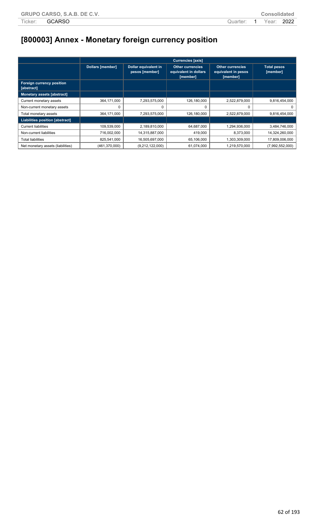# **[800003] Annex - Monetary foreign currency position**

|                                         | <b>Currencies [axis]</b> |                                        |                                                              |                                                            |                                |  |  |  |  |  |  |
|-----------------------------------------|--------------------------|----------------------------------------|--------------------------------------------------------------|------------------------------------------------------------|--------------------------------|--|--|--|--|--|--|
|                                         | <b>Dollars [member]</b>  | Dollar equivalent in<br>pesos [member] | <b>Other currencies</b><br>equivalent in dollars<br>[member] | <b>Other currencies</b><br>equivalent in pesos<br>[member] | <b>Total pesos</b><br>[member] |  |  |  |  |  |  |
| Foreign currency position<br>[abstract] |                          |                                        |                                                              |                                                            |                                |  |  |  |  |  |  |
| Monetary assets [abstract]              |                          |                                        |                                                              |                                                            |                                |  |  |  |  |  |  |
| Current monetary assets                 | 364,171,000              | 7,293,575,000                          | 126,180,000                                                  | 2,522,879,000                                              | 9,816,454,000                  |  |  |  |  |  |  |
| Non-current monetary assets             |                          |                                        | 0                                                            | 0                                                          | 0                              |  |  |  |  |  |  |
| Total monetary assets                   | 364,171,000              | 7,293,575,000                          | 126,180,000                                                  | 2,522,879,000                                              | 9,816,454,000                  |  |  |  |  |  |  |
| Liabilities position [abstract]         |                          |                                        |                                                              |                                                            |                                |  |  |  |  |  |  |
| <b>Current liabilities</b>              | 109,539,000              | 2,189,810,000                          | 64,687,000                                                   | 1,294,936,000                                              | 3,484,746,000                  |  |  |  |  |  |  |
| Non-current liabilities                 | 716,002,000              | 14,315,887,000                         | 419,000                                                      | 8,373,000                                                  | 14,324,260,000                 |  |  |  |  |  |  |
| Total liabilities                       | 825,541,000              | 16,505,697,000                         | 65,106,000                                                   | 1,303,309,000                                              | 17,809,006,000                 |  |  |  |  |  |  |
| Net monetary assets (liabilities)       | (461, 370, 000)          | (9,212,122,000)                        | 61,074,000                                                   | 1,219,570,000                                              | (7,992,552,000)                |  |  |  |  |  |  |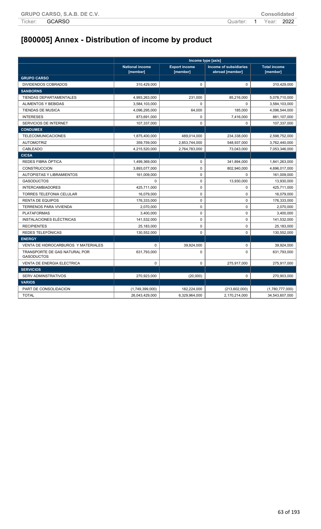# **[800005] Annex - Distribution of income by product**

|                                                    | Income type [axis]                 |                                  |                                           |                                 |  |  |  |
|----------------------------------------------------|------------------------------------|----------------------------------|-------------------------------------------|---------------------------------|--|--|--|
|                                                    | <b>National income</b><br>[member] | <b>Export income</b><br>[member] | Income of subsidiaries<br>abroad [member] | <b>Total income</b><br>[member] |  |  |  |
| <b>GRUPO CARSO</b>                                 |                                    |                                  |                                           |                                 |  |  |  |
| <b>DIVIDENDOS COBRADOS</b>                         | 310,429,000                        | $\mathbf 0$                      | $\mathbf 0$                               | 310,429,000                     |  |  |  |
| <b>SANBORNS</b>                                    |                                    |                                  |                                           |                                 |  |  |  |
| TIENDAS DEPARTAMENTALES                            | 4,993,263,000                      | 231,000                          | 85,216,000                                | 5,078,710,000                   |  |  |  |
| <b>ALIMENTOS Y BEBIDAS</b>                         | 3,584,103,000                      | $\Omega$                         | $\Omega$                                  | 3,584,103,000                   |  |  |  |
| <b>TIENDAS DE MUSICA</b>                           | 4,096,295,000                      | 64,000                           | 185,000                                   | 4,096,544,000                   |  |  |  |
| <b>INTERESES</b>                                   | 873,691,000                        | $\pmb{0}$                        | 7,416,000                                 | 881,107,000                     |  |  |  |
| SERVICIOS DE INTERNET                              | 107,337,000                        | $\mathbf 0$                      | $\mathbf 0$                               | 107,337,000                     |  |  |  |
| <b>CONDUMEX</b>                                    |                                    |                                  |                                           |                                 |  |  |  |
| <b>TELECOMUNICACIONES</b>                          | 1,875,400,000                      | 489,014,000                      | 234,338,000                               | 2,598,752,000                   |  |  |  |
| <b>AUTOMOTRIZ</b>                                  | 359,759,000                        | 2,853,744,000                    | 548,937,000                               | 3,762,440,000                   |  |  |  |
| <b>CABLEADO</b>                                    | 4,215,520,000                      | 2,764,783,000                    | 73,043,000                                | 7,053,346,000                   |  |  |  |
| <b>CICSA</b>                                       |                                    |                                  |                                           |                                 |  |  |  |
| REDES FIBRA ÓPTICA                                 | 1,499,369,000                      | $\mathsf 0$                      | 341,894,000                               | 1,841,263,000                   |  |  |  |
| <b>CONSTRUCCION</b>                                | 3,893,077,000                      | $\mathbf 0$                      | 802,940,000                               | 4,696,017,000                   |  |  |  |
| <b>AUTOPISTAS Y LIBRAMIENTOS</b>                   | 161,009,000                        | $\mathbf 0$                      | $\mathbf 0$                               | 161,009,000                     |  |  |  |
| <b>GASODUCTOS</b>                                  | $\Omega$                           | $\mathbf 0$                      | 13,930,000                                | 13,930,000                      |  |  |  |
| <b>INTERCAMBIADORES</b>                            | 425,711,000                        | $\pmb{0}$                        | $\pmb{0}$                                 | 425,711,000                     |  |  |  |
| <b>TORRES TELEFONIA CELULAR</b>                    | 16,079,000                         | $\mathbf 0$                      | $\mathbf 0$                               | 16,079,000                      |  |  |  |
| <b>RENTA DE EQUIPOS</b>                            | 176,333,000                        | $\mathbf 0$                      | $\pmb{0}$                                 | 176,333,000                     |  |  |  |
| TERRENOS PARA VIVIENDA                             | 2,070,000                          | $\pmb{0}$                        | $\pmb{0}$                                 | 2,070,000                       |  |  |  |
| <b>PLATAFORMAS</b>                                 | 3,400,000                          | $\mathbf 0$                      | $\mathbf 0$                               | 3,400,000                       |  |  |  |
| INSTALACIONES ELÉCTRICAS                           | 141,532,000                        | $\mathbf 0$                      | $\pmb{0}$                                 | 141,532,000                     |  |  |  |
| <b>RECIPIENTES</b>                                 | 25,183,000                         | $\pmb{0}$                        | $\pmb{0}$                                 | 25,183,000                      |  |  |  |
| REDES TELEFÓNICAS                                  | 130,552,000                        | $\mathbf 0$                      | $\mathbf 0$                               | 130,552,000                     |  |  |  |
| <b>ENERGY</b>                                      |                                    |                                  |                                           |                                 |  |  |  |
| VENTA DE HIDROCARBUROS Y MATERIALES                | $\mathbf 0$                        | 39,924,000                       | $\pmb{0}$                                 | 39,924,000                      |  |  |  |
| TRANSPORTE DE GAS NATURAL POR<br><b>GASODUCTOS</b> | 631,793,000                        | $\mathbf 0$                      | $\Omega$                                  | 631,793,000                     |  |  |  |
| <b>VENTA DE ENERGIA ELECTRICA</b>                  | $\mathbf 0$                        | $\mathbf 0$                      | 275,917,000                               | 275,917,000                     |  |  |  |
| <b>SERVICIOS</b>                                   |                                    |                                  |                                           |                                 |  |  |  |
| SERV ADMINSTRATIVOS                                | 270,923,000                        | (20,000)                         | 0                                         | 270,903,000                     |  |  |  |
| <b>VARIOS</b>                                      |                                    |                                  |                                           |                                 |  |  |  |
| PART DE CONSOLIDACION                              | (1,749,399,000)                    | 182,224,000                      | (213,602,000)                             | (1,780,777,000)                 |  |  |  |
| <b>TOTAL</b>                                       | 26,043,429,000                     | 6,329,964,000                    | 2,170,214,000                             | 34,543,607,000                  |  |  |  |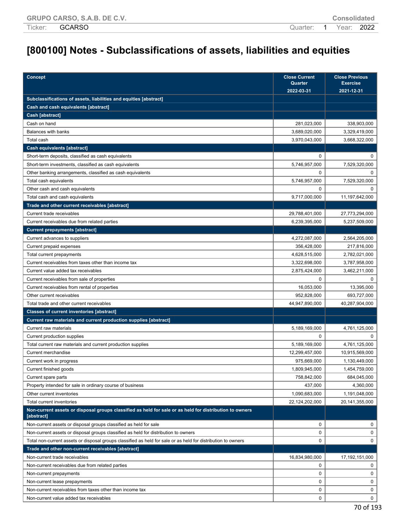## **[800100] Notes - Subclassifications of assets, liabilities and equities**

| Concept                                                                                                               | <b>Close Current</b><br>Quarter<br>2022-03-31 | <b>Close Previous</b><br><b>Exercise</b><br>2021-12-31 |
|-----------------------------------------------------------------------------------------------------------------------|-----------------------------------------------|--------------------------------------------------------|
| Subclassifications of assets, liabilities and equities [abstract]                                                     |                                               |                                                        |
| Cash and cash equivalents [abstract]                                                                                  |                                               |                                                        |
| Cash [abstract]                                                                                                       |                                               |                                                        |
| Cash on hand                                                                                                          | 281,023,000                                   | 338,903,000                                            |
| Balances with banks                                                                                                   | 3,689,020,000                                 | 3,329,419,000                                          |
| Total cash                                                                                                            | 3,970,043,000                                 | 3,668,322,000                                          |
| Cash equivalents [abstract]                                                                                           |                                               |                                                        |
| Short-term deposits, classified as cash equivalents                                                                   | 0                                             | 0                                                      |
| Short-term investments, classified as cash equivalents                                                                | 5,746,957,000                                 | 7,529,320,000                                          |
| Other banking arrangements, classified as cash equivalents                                                            | 0                                             | $\Omega$                                               |
| Total cash equivalents                                                                                                | 5,746,957,000                                 | 7,529,320,000                                          |
| Other cash and cash equivalents                                                                                       | 0                                             | $\Omega$                                               |
| Total cash and cash equivalents                                                                                       | 9,717,000,000                                 | 11,197,642,000                                         |
| Trade and other current receivables [abstract]                                                                        |                                               |                                                        |
| Current trade receivables                                                                                             | 29,788,401,000                                | 27,773,294,000                                         |
| Current receivables due from related parties                                                                          | 6,239,395,000                                 | 5,237,509,000                                          |
| <b>Current prepayments [abstract]</b>                                                                                 |                                               |                                                        |
| Current advances to suppliers                                                                                         | 4,272,087,000                                 | 2,564,205,000                                          |
| Current prepaid expenses                                                                                              | 356,428,000                                   | 217,816,000                                            |
| Total current prepayments                                                                                             | 4,628,515,000                                 | 2,782,021,000                                          |
| Current receivables from taxes other than income tax                                                                  | 3,322,698,000                                 | 3,787,958,000                                          |
| Current value added tax receivables                                                                                   | 2,875,424,000                                 | 3,462,211,000                                          |
| Current receivables from sale of properties                                                                           | 0                                             | 0                                                      |
| Current receivables from rental of properties                                                                         | 16,053,000                                    | 13,395,000                                             |
| Other current receivables                                                                                             | 952,828,000                                   | 693,727,000                                            |
| Total trade and other current receivables                                                                             | 44,947,890,000                                | 40,287,904,000                                         |
| <b>Classes of current inventories [abstract]</b>                                                                      |                                               |                                                        |
| Current raw materials and current production supplies [abstract]                                                      |                                               |                                                        |
| Current raw materials                                                                                                 | 5,189,169,000                                 | 4,761,125,000                                          |
| Current production supplies                                                                                           | $\Omega$                                      | $\Omega$                                               |
| Total current raw materials and current production supplies                                                           | 5,189,169,000                                 | 4,761,125,000                                          |
| <b>Current merchandise</b>                                                                                            | 12,299,457,000                                | 10,915,569,000                                         |
| Current work in progress                                                                                              | 975.669.000                                   | 1,130,449,000                                          |
| Current finished goods                                                                                                | 1,809,945,000                                 | 1,454,759,000                                          |
| Current spare parts                                                                                                   | 758,842,000                                   | 684,045,000                                            |
| Property intended for sale in ordinary course of business                                                             | 437,000                                       | 4,360,000                                              |
| Other current inventories                                                                                             | 1,090,683,000                                 | 1,191,048,000                                          |
| Total current inventories                                                                                             | 22,124,202,000                                | 20,141,355,000                                         |
| Non-current assets or disposal groups classified as held for sale or as held for distribution to owners<br>[abstract] |                                               |                                                        |
| Non-current assets or disposal groups classified as held for sale                                                     | $\mathbf 0$                                   | $\mathbf{0}$                                           |
| Non-current assets or disposal groups classified as held for distribution to owners                                   | 0                                             | 0                                                      |
| Total non-current assets or disposal groups classified as held for sale or as held for distribution to owners         | 0                                             | 0                                                      |
| Trade and other non-current receivables [abstract]                                                                    |                                               |                                                        |
| Non-current trade receivables                                                                                         | 16,834,980,000                                | 17,192,151,000                                         |
| Non-current receivables due from related parties                                                                      | 0                                             | 0                                                      |
| Non-current prepayments                                                                                               | 0                                             | 0                                                      |
| Non-current lease prepayments                                                                                         | $\mathbf 0$                                   | 0                                                      |
| Non-current receivables from taxes other than income tax                                                              | 0                                             | 0                                                      |
| Non-current value added tax receivables                                                                               | 0                                             | $\mathbf 0$                                            |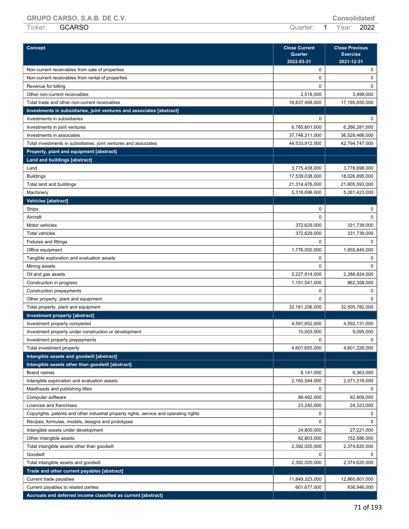**GRUPO CARSO, S.A.B. DE C.V. Consolidated** Ticker: GCARSO Quarter: 1 Year: 2022

| <b>Concept</b>                                                                         | <b>Close Current</b><br>Quarter<br>2022-03-31 | <b>Close Previous</b><br><b>Exercise</b><br>2021-12-31 |
|----------------------------------------------------------------------------------------|-----------------------------------------------|--------------------------------------------------------|
| Non-current receivables from sale of properties                                        | 0                                             | 0                                                      |
| Non-current receivables from rental of properties                                      | 0                                             | 0                                                      |
| Revenue for billing                                                                    | 0                                             | 0                                                      |
| Other non-current receivables                                                          | 2,518,000                                     | 3,499,000                                              |
| Total trade and other non-current receivables                                          | 16,837,498,000                                | 17,195,650,000                                         |
| Investments in subsidiaries, joint ventures and associates [abstract]                  |                                               |                                                        |
| Investments in subsidiaries                                                            | $\mathbf 0$                                   | $\Omega$                                               |
| Investments in joint ventures                                                          | 6,785,601,000                                 | 6,266,281,000                                          |
| Investments in associates                                                              | 37,748,311,000                                | 36,528,466,000                                         |
| Total investments in subsidiaries, joint ventures and associates                       | 44,533,912,000                                | 42,794,747,000                                         |
| Property, plant and equipment [abstract]                                               |                                               |                                                        |
| Land and buildings [abstract]                                                          |                                               |                                                        |
| Land                                                                                   | 3,775,438,000                                 | 3,778,698,000                                          |
| <b>Buildings</b>                                                                       | 17,539,038,000                                | 18,026,895,000                                         |
| Total land and buildings                                                               | 21,314,476,000                                | 21,805,593,000                                         |
| Machinery                                                                              | 5,318,696,000                                 | 5,261,423,000                                          |
| <b>Vehicles [abstract]</b>                                                             |                                               |                                                        |
| Ships                                                                                  | 0                                             | 0                                                      |
| Aircraft                                                                               | 0                                             | $\Omega$                                               |
| Motor vehicles                                                                         | 372,629,000                                   | 331,739,000                                            |
| <b>Total vehicles</b>                                                                  | 372,629,000                                   | 331,739,000                                            |
| <b>Fixtures and fittings</b>                                                           | 0                                             | 0                                                      |
| Office equipment                                                                       | 1,776,050,000                                 | 1,855,845,000                                          |
| Tangible exploration and evaluation assets                                             | 0                                             | 0                                                      |
| Mining assets                                                                          | 0                                             | $\Omega$                                               |
| Oil and gas assets                                                                     | 2,227,814,000                                 | 2,288,824,000                                          |
| Construction in progress                                                               | 1,151,541,000                                 | 962,358,000                                            |
| Construction prepayments                                                               | 0                                             | 0                                                      |
| Other property, plant and equipment                                                    | $\Omega$                                      | $\Omega$                                               |
| Total property, plant and equipment                                                    | 32,161,206,000                                | 32,505,782,000                                         |
| Investment property [abstract]                                                         |                                               |                                                        |
| Investment property completed                                                          | 4,591,652,000                                 | 4,592,131,000                                          |
| Investment property under construction or development                                  | 10,003,000                                    | 9,095,000                                              |
|                                                                                        | $\Omega$                                      | $\Omega$                                               |
| Investment property prepayments                                                        | 4,601,655,000                                 | 4,601,226,000                                          |
| Total investment property<br>Intangible assets and goodwill [abstract]                 |                                               |                                                        |
|                                                                                        |                                               |                                                        |
| Intangible assets other than goodwill [abstract]                                       |                                               |                                                        |
| <b>Brand names</b>                                                                     | 6,141,000                                     | 6,363,000                                              |
| Intangible exploration and evaluation assets                                           | 2,165,544,000                                 | 2,071,318,000                                          |
| Mastheads and publishing titles                                                        | 0                                             | 0                                                      |
| Computer software                                                                      | 89,492,000                                    | 92,809,000                                             |
| Licences and franchises                                                                | 23,240,000                                    | 24,323,000                                             |
| Copyrights, patents and other industrial property rights, service and operating rights | 0                                             | 0                                                      |
| Recipes, formulae, models, designs and prototypes                                      | 0                                             | $\Omega$                                               |
| Intangible assets under development                                                    | 24,800,000                                    | 27,221,000                                             |
| Other intangible assets                                                                | 82,803,000                                    | 152,586,000                                            |
| Total intangible assets other than goodwill                                            | 2,392,020,000                                 | 2,374,620,000                                          |
| Goodwill                                                                               | 0                                             | 0                                                      |
| Total intangible assets and goodwill                                                   | 2,392,020,000                                 | 2,374,620,000                                          |
| Trade and other current payables [abstract]                                            |                                               |                                                        |
| Current trade payables                                                                 | 11,849,323,000                                | 12,860,801,000                                         |
| Current payables to related parties                                                    | 601,677,000                                   | 836,946,000                                            |
| Accruals and deferred income classified as current [abstract]                          |                                               |                                                        |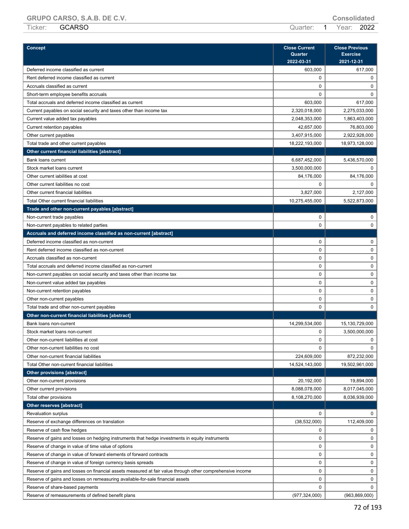|         | $U(1, U)$ $U(2, U)$ $U(3, U)$ $U(3, U)$ |                       | <b>VVIIVVIIVULVV</b> |  |
|---------|-----------------------------------------|-----------------------|----------------------|--|
| Ticker: | <b>GCARSO</b>                           | Quarter: 1 Year: 2022 |                      |  |

| Concept                                                                                         | <b>Close Current</b> | <b>Close Previous</b> |  |  |
|-------------------------------------------------------------------------------------------------|----------------------|-----------------------|--|--|
|                                                                                                 | Quarter              | <b>Exercise</b>       |  |  |
|                                                                                                 | 2022-03-31           | 2021-12-31            |  |  |
| Deferred income classified as current                                                           | 603,000              | 617,000               |  |  |
| Rent deferred income classified as current                                                      | 0                    | 0                     |  |  |
| Accruals classified as current                                                                  | 0                    | $\mathbf 0$           |  |  |
| Short-term employee benefits accruals                                                           | 0                    | $\mathbf 0$           |  |  |
| Total accruals and deferred income classified as current                                        | 603,000              | 617,000               |  |  |
| Current payables on social security and taxes other than income tax                             | 2,320,018,000        | 2,275,033,000         |  |  |
| Current value added tax payables                                                                | 2,048,353,000        | 1,863,403,000         |  |  |
| Current retention payables                                                                      | 42,657,000           | 76,803,000            |  |  |
| Other current payables                                                                          | 3,407,915,000        | 2,922,928,000         |  |  |
| Total trade and other current payables                                                          | 18,222,193,000       | 18,973,128,000        |  |  |
| Other current financial liabilities [abstract]                                                  |                      |                       |  |  |
| Bank loans current                                                                              | 6,687,452,000        | 5,436,570,000         |  |  |
| Stock market loans current                                                                      | 3,500,000,000        | 0                     |  |  |
| Other current iabilities at cost                                                                | 84,176,000           | 84,176,000            |  |  |
| Other current liabilities no cost                                                               | 0                    | $\mathbf 0$           |  |  |
| Other current financial liabilities                                                             | 3,827,000            | 2,127,000             |  |  |
| Total Other current financial liabilities                                                       | 10,275,455,000       | 5,522,873,000         |  |  |
| Trade and other non-current payables [abstract]                                                 |                      |                       |  |  |
| Non-current trade payables                                                                      | 0                    | 0                     |  |  |
| Non-current payables to related parties                                                         | 0                    | $\mathbf 0$           |  |  |
| Accruals and deferred income classified as non-current [abstract]                               |                      |                       |  |  |
| Deferred income classified as non-current                                                       | $\mathbf 0$          | 0                     |  |  |
| Rent deferred income classified as non-current                                                  | 0                    | $\mathsf 0$           |  |  |
| Accruals classified as non-current                                                              | 0                    | 0                     |  |  |
| Total accruals and deferred income classified as non-current                                    | 0                    | 0                     |  |  |
| Non-current payables on social security and taxes other than income tax                         | 0                    | $\mathsf 0$           |  |  |
| Non-current value added tax payables                                                            | 0                    | 0                     |  |  |
| Non-current retention payables                                                                  | 0                    | $\mathsf 0$           |  |  |
| Other non-current payables                                                                      | 0                    | 0                     |  |  |
| Total trade and other non-current payables                                                      | 0                    | $\mathbf 0$           |  |  |
| Other non-current financial liabilities [abstract]                                              |                      |                       |  |  |
| Bank loans non-current                                                                          | 14,299,534,000       | 15,130,729,000        |  |  |
| Stock market loans non-current                                                                  | 0                    | 3,500,000,000         |  |  |
| Other non-current liabilities at cost                                                           | 0                    | 0                     |  |  |
| Other non-current liabilities no cost                                                           | 0                    | $\mathbf 0$           |  |  |
| Other non-current financial liabilities                                                         | 224,609,000          | 872,232,000           |  |  |
| Total Other non-current financial liabilities                                                   | 14,524,143,000       | 19,502,961,000        |  |  |
| <b>Other provisions [abstract]</b>                                                              |                      |                       |  |  |
| Other non-current provisions                                                                    | 20,192,000           | 19,894,000            |  |  |
| Other current provisions                                                                        | 8,088,078,000        | 8,017,045,000         |  |  |
| Total other provisions                                                                          | 8,108,270,000        | 8,036,939,000         |  |  |
| Other reserves [abstract]                                                                       |                      |                       |  |  |
| <b>Revaluation surplus</b>                                                                      | 0                    | 0                     |  |  |
| Reserve of exchange differences on translation                                                  | (38, 532, 000)       | 112,409,000           |  |  |
| Reserve of cash flow hedges                                                                     | 0                    | 0                     |  |  |
| Reserve of gains and losses on hedging instruments that hedge investments in equity instruments | $\pmb{0}$            | $\mathbf 0$           |  |  |

Reserve of change in value of time value of options and the control of the control of the control of the control of the control of the control of the control of the control of the control of the control of the control of t Reserve of change in value of forward elements of forward contracts on the contracts of the contracts of the contracts of the contracts of the contracts of the contracts of the contracts of the contracts of the contracts o Reserve of change in value of foreign currency basis spreads 0 0 Reserve of gains and losses on financial assets measured at fair value through other comprehensive income 0 0 Reserve of gains and losses on remeasuring available-for-sale financial assets 0 0 Reserve of share-based payments 0 0 Reserve of remeasurements of defined benefit plans (977,324,000) (977,324,000) (963,869,000)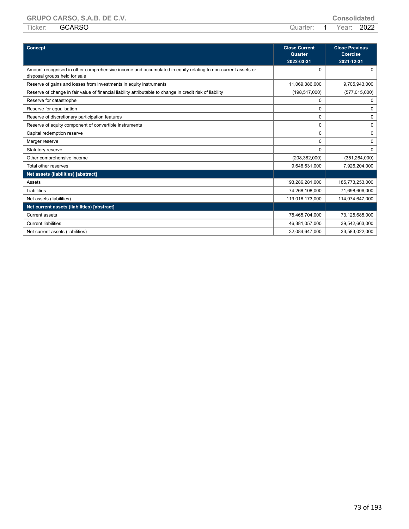| $- - -$<br>Ticker: | <b>GARSO</b><br>ا ⊏. | arter | $\bigcirc$ or :<br>ear | 2022<br>____ |
|--------------------|----------------------|-------|------------------------|--------------|
|                    |                      |       |                        |              |

| Concept                                                                                                                                      | <b>Close Current</b><br>Quarter<br>2022-03-31 | <b>Close Previous</b><br><b>Exercise</b><br>2021-12-31 |
|----------------------------------------------------------------------------------------------------------------------------------------------|-----------------------------------------------|--------------------------------------------------------|
| Amount recognised in other comprehensive income and accumulated in equity relating to non-current assets or<br>disposal groups held for sale | $\Omega$                                      | 0                                                      |
| Reserve of gains and losses from investments in equity instruments                                                                           | 11,069,386,000                                | 9,705,943,000                                          |
| Reserve of change in fair value of financial liability attributable to change in credit risk of liability                                    | (198, 517, 000)                               | (577, 015, 000)                                        |
| Reserve for catastrophe                                                                                                                      | 0                                             | 0                                                      |
| Reserve for equalisation                                                                                                                     | 0                                             | $\Omega$                                               |
| Reserve of discretionary participation features                                                                                              | 0                                             | 0                                                      |
| Reserve of equity component of convertible instruments                                                                                       | $\Omega$                                      | $\Omega$                                               |
| Capital redemption reserve                                                                                                                   | 0                                             | 0                                                      |
| Merger reserve                                                                                                                               | 0                                             | 0                                                      |
| Statutory reserve                                                                                                                            | $\Omega$                                      | $\Omega$                                               |
| Other comprehensive income                                                                                                                   | (208, 382, 000)                               | (351, 264, 000)                                        |
| Total other reserves                                                                                                                         | 9,646,631,000                                 | 7,926,204,000                                          |
| Net assets (liabilities) [abstract]                                                                                                          |                                               |                                                        |
| Assets                                                                                                                                       | 193,286,281,000                               | 185,773,253,000                                        |
| Liabilities                                                                                                                                  | 74,268,108,000                                | 71,698,606,000                                         |
| Net assets (liabilities)                                                                                                                     | 119,018,173,000                               | 114,074,647,000                                        |
| Net current assets (liabilities) [abstract]                                                                                                  |                                               |                                                        |
| <b>Current assets</b>                                                                                                                        | 78,465,704,000                                | 73,125,685,000                                         |
| <b>Current liabilities</b>                                                                                                                   | 46,381,057,000                                | 39,542,663,000                                         |
| Net current assets (liabilities)                                                                                                             | 32,084,647,000                                | 33,583,022,000                                         |